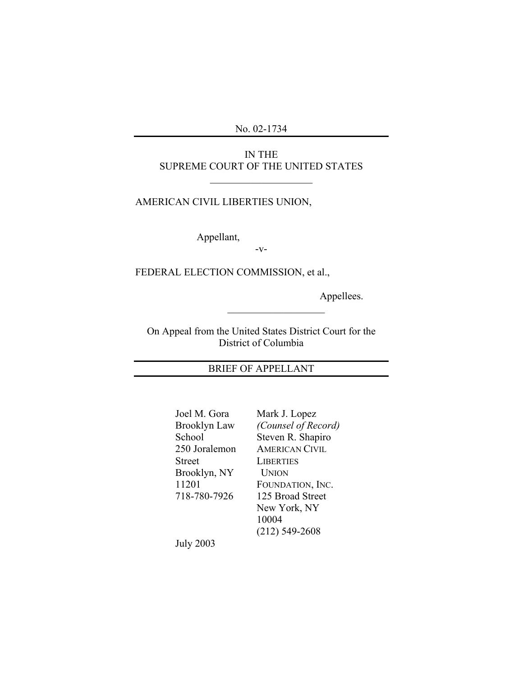No. 02-1734

## IN THE SUPREME COURT OF THE UNITED STATES

 $\mathcal{L}_\text{max}$  , where  $\mathcal{L}_\text{max}$  and  $\mathcal{L}_\text{max}$ 

## AMERICAN CIVIL LIBERTIES UNION,

Appellant,

-v-

FEDERAL ELECTION COMMISSION, et al.,

Appellees.

On Appeal from the United States District Court for the District of Columbia

 $\overline{\phantom{a}}$  , where  $\overline{\phantom{a}}$ 

## BRIEF OF APPELLANT

| Joel M. Gora  | Mark J. Lopez         |
|---------------|-----------------------|
| Brooklyn Law  | (Counsel of Record)   |
| School        | Steven R. Shapiro     |
| 250 Joralemon | <b>AMERICAN CIVIL</b> |
| Street        | <b>LIBERTIES</b>      |
| Brooklyn, NY  | <b>UNION</b>          |
| 11201         | FOUNDATION, INC.      |
| 718-780-7926  | 125 Broad Street      |
|               | New York, NY          |
|               | 10004                 |
|               | $(212) 549 - 2608$    |
| July 2003     |                       |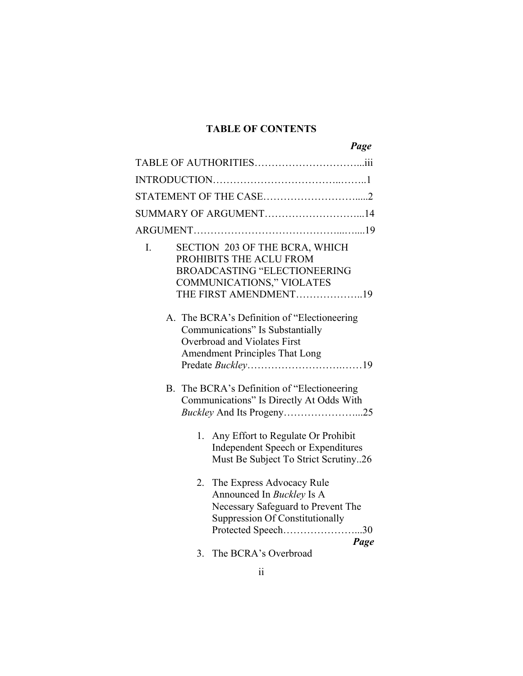# **TABLE OF CONTENTS**

|    | Page                                                                                                                                                          |
|----|---------------------------------------------------------------------------------------------------------------------------------------------------------------|
|    |                                                                                                                                                               |
|    |                                                                                                                                                               |
|    |                                                                                                                                                               |
|    | SUMMARY OF ARGUMENT14                                                                                                                                         |
|    |                                                                                                                                                               |
| I. | SECTION 203 OF THE BCRA, WHICH<br>PROHIBITS THE ACLU FROM<br><b>BROADCASTING "ELECTIONEERING</b><br><b>COMMUNICATIONS," VIOLATES</b><br>THE FIRST AMENDMENT19 |
|    | A. The BCRA's Definition of "Electioneering"<br>Communications" Is Substantially<br>Overbroad and Violates First<br><b>Amendment Principles That Long</b>     |
|    | B. The BCRA's Definition of "Electioneering<br>Communications" Is Directly At Odds With                                                                       |
|    | 1. Any Effort to Regulate Or Prohibit<br><b>Independent Speech or Expenditures</b><br>Must Be Subject To Strict Scrutiny26                                    |
| 2. | The Express Advocacy Rule<br>Announced In Buckley Is A<br>Necessary Safeguard to Prevent The<br>Suppression Of Constitutionally<br>Protected Speech30<br>Page |
|    | 3. The BCRA's Overbroad                                                                                                                                       |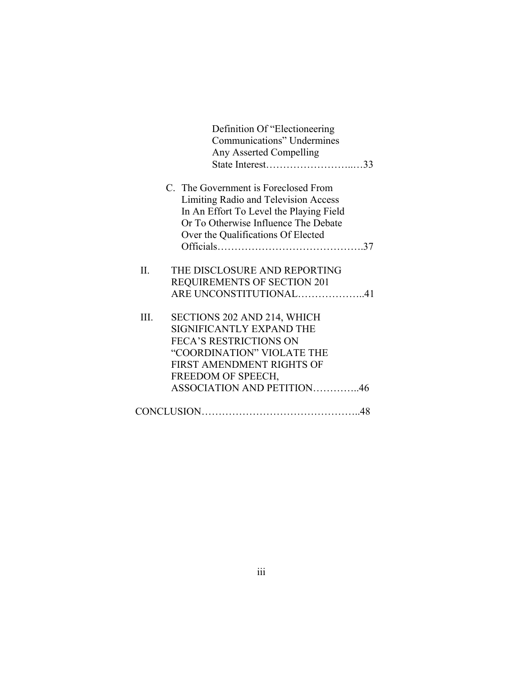|      | Definition Of "Electioneering"<br>Communications" Undermines<br>Any Asserted Compelling |
|------|-----------------------------------------------------------------------------------------|
|      | C. The Government is Foreclosed From                                                    |
|      | Limiting Radio and Television Access                                                    |
|      | In An Effort To Level the Playing Field                                                 |
|      | Or To Otherwise Influence The Debate                                                    |
|      | Over the Qualifications Of Elected                                                      |
|      |                                                                                         |
| II.  | THE DISCLOSURE AND REPORTING                                                            |
|      | <b>REQUIREMENTS OF SECTION 201</b>                                                      |
|      | ARE UNCONSTITUTIONAL41                                                                  |
| III. | SECTIONS 202 AND 214, WHICH                                                             |
|      | SIGNIFICANTLY EXPAND THE                                                                |
|      | <b>FECA'S RESTRICTIONS ON</b>                                                           |
|      | "COORDINATION" VIOLATE THE                                                              |
|      | FIRST AMENDMENT RIGHTS OF                                                               |
|      | FREEDOM OF SPEECH,                                                                      |
|      | ASSOCIATION AND PETITION46                                                              |
|      |                                                                                         |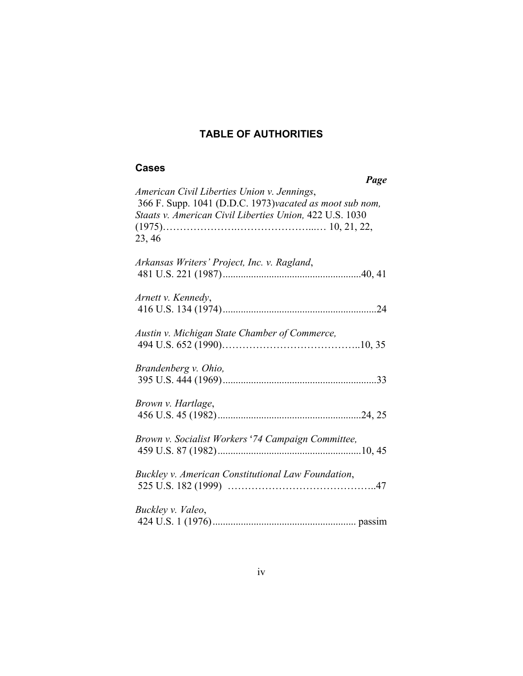# **TABLE OF AUTHORITIES**

## **Cases**

| Page                                                                                                                                                                        |
|-----------------------------------------------------------------------------------------------------------------------------------------------------------------------------|
| American Civil Liberties Union v. Jennings,<br>366 F. Supp. 1041 (D.D.C. 1973)vacated as moot sub nom,<br>Staats v. American Civil Liberties Union, 422 U.S. 1030<br>23, 46 |
| Arkansas Writers' Project, Inc. v. Ragland,                                                                                                                                 |
| Arnett v. Kennedy,                                                                                                                                                          |
| Austin v. Michigan State Chamber of Commerce,                                                                                                                               |
| Brandenberg v. Ohio,                                                                                                                                                        |
| Brown v. Hartlage,                                                                                                                                                          |
| Brown v. Socialist Workers '74 Campaign Committee,                                                                                                                          |
| Buckley v. American Constitutional Law Foundation,                                                                                                                          |
| Buckley v. Valeo,                                                                                                                                                           |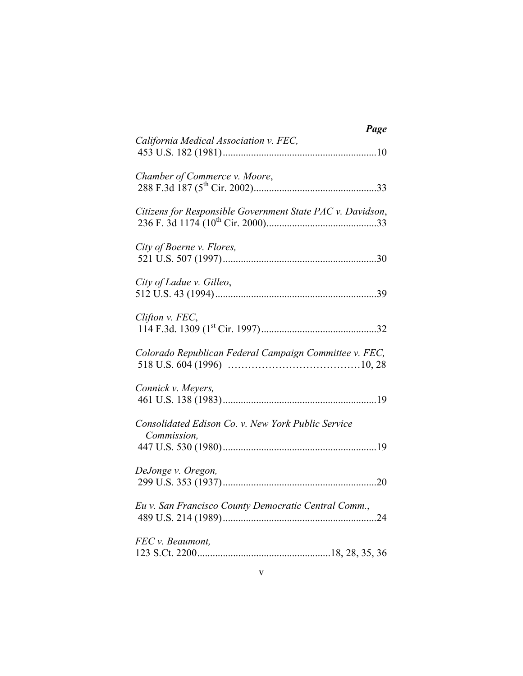| Page                                                       |
|------------------------------------------------------------|
| California Medical Association v. FEC,                     |
| Chamber of Commerce v. Moore,                              |
| Citizens for Responsible Government State PAC v. Davidson, |
| City of Boerne v. Flores,                                  |
| City of Ladue v. Gilleo,                                   |
| Clifton v. FEC,                                            |
| Colorado Republican Federal Campaign Committee v. FEC,     |
| Connick v. Meyers,                                         |
| Consolidated Edison Co. v. New York Public Service         |
| Commission,                                                |
| DeJonge v. Oregon,                                         |
| Eu v. San Francisco County Democratic Central Comm.,       |
| FEC v. Beaumont,                                           |
|                                                            |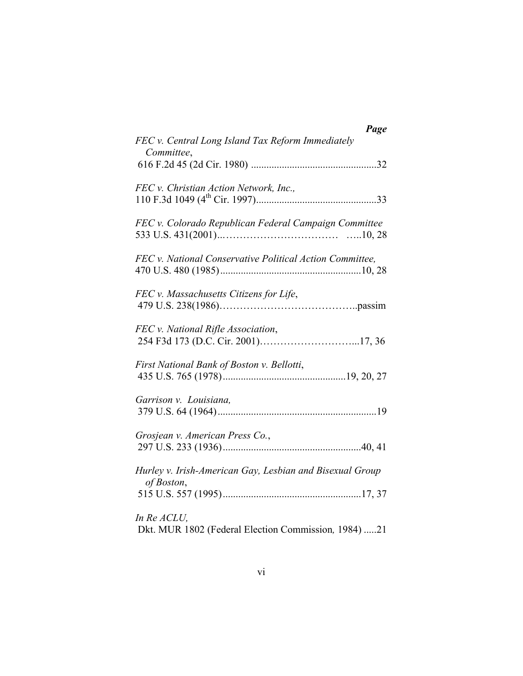| Page                                                                   |
|------------------------------------------------------------------------|
| FEC v. Central Long Island Tax Reform Immediately<br>Committee,        |
| FEC v. Christian Action Network, Inc.,                                 |
| FEC v. Colorado Republican Federal Campaign Committee                  |
| FEC v. National Conservative Political Action Committee,               |
| FEC v. Massachusetts Citizens for Life,                                |
| FEC v. National Rifle Association,                                     |
| First National Bank of Boston v. Bellotti,                             |
| Garrison v. Louisiana,                                                 |
| Grosjean v. American Press Co.,                                        |
| Hurley v. Irish-American Gay, Lesbian and Bisexual Group<br>of Boston, |
| In Re ACLU,<br>Dkt. MUR 1802 (Federal Election Commission, 1984) 21    |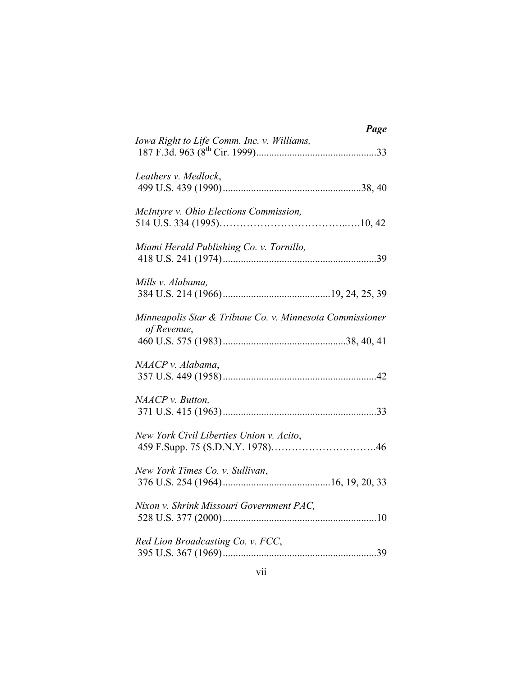| Page                                                                    |
|-------------------------------------------------------------------------|
| Iowa Right to Life Comm. Inc. v. Williams,                              |
| Leathers v. Medlock,                                                    |
| McIntyre v. Ohio Elections Commission,                                  |
| Miami Herald Publishing Co. v. Tornillo,                                |
| Mills v. Alabama,                                                       |
| Minneapolis Star & Tribune Co. v. Minnesota Commissioner<br>of Revenue, |
|                                                                         |
| NAACP v. Alabama,                                                       |
| NAACP v. Button,                                                        |
| New York Civil Liberties Union v. Acito,                                |
|                                                                         |
| Nixon v. Shrink Missouri Government PAC,                                |
| Red Lion Broadcasting Co. v. FCC,                                       |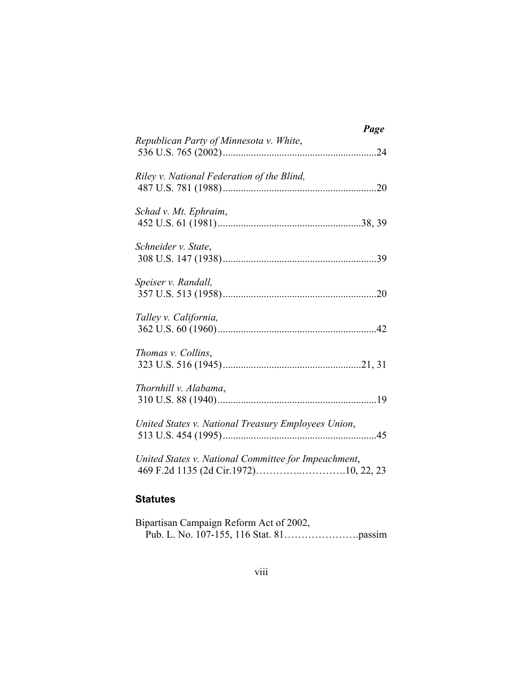|                                                      | Page |
|------------------------------------------------------|------|
| Republican Party of Minnesota v. White,              |      |
| Riley v. National Federation of the Blind,           |      |
| Schad v. Mt. Ephraim,                                |      |
| Schneider v. State,                                  |      |
| Speiser v. Randall,                                  |      |
| Talley v. California,                                |      |
| Thomas v. Collins,                                   |      |
| Thornhill v. Alabama,                                |      |
| United States v. National Treasury Employees Union,  |      |
| United States v. National Committee for Impeachment, |      |

## **Statutes**

| Bipartisan Campaign Reform Act of 2002, |  |
|-----------------------------------------|--|
|                                         |  |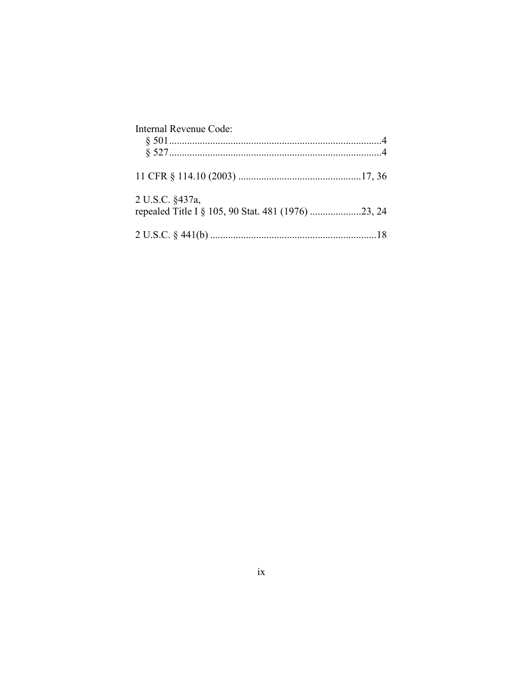| Internal Revenue Code: |  |
|------------------------|--|
|                        |  |
|                        |  |
| 2 U.S.C. §437a,        |  |
|                        |  |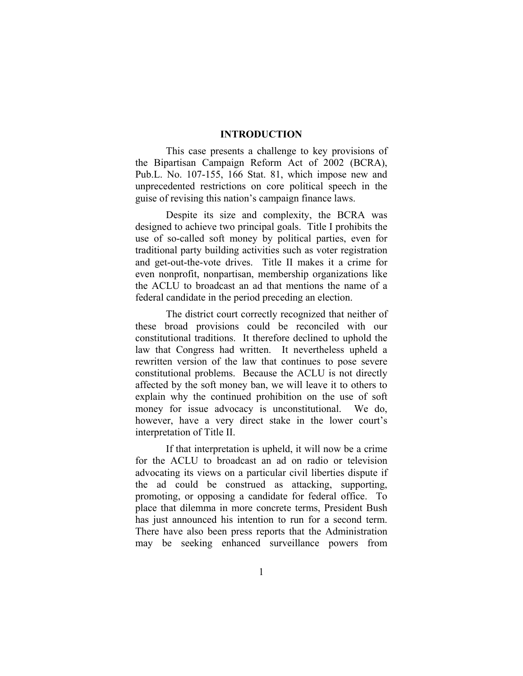#### **INTRODUCTION**

This case presents a challenge to key provisions of the Bipartisan Campaign Reform Act of 2002 (BCRA), Pub.L. No. 107-155, 166 Stat. 81, which impose new and unprecedented restrictions on core political speech in the guise of revising this nation's campaign finance laws.

Despite its size and complexity, the BCRA was designed to achieve two principal goals. Title I prohibits the use of so-called soft money by political parties, even for traditional party building activities such as voter registration and get-out-the-vote drives. Title II makes it a crime for even nonprofit, nonpartisan, membership organizations like the ACLU to broadcast an ad that mentions the name of a federal candidate in the period preceding an election.

The district court correctly recognized that neither of these broad provisions could be reconciled with our constitutional traditions. It therefore declined to uphold the law that Congress had written. It nevertheless upheld a rewritten version of the law that continues to pose severe constitutional problems. Because the ACLU is not directly affected by the soft money ban, we will leave it to others to explain why the continued prohibition on the use of soft money for issue advocacy is unconstitutional. We do, however, have a very direct stake in the lower court's interpretation of Title II.

If that interpretation is upheld, it will now be a crime for the ACLU to broadcast an ad on radio or television advocating its views on a particular civil liberties dispute if the ad could be construed as attacking, supporting, promoting, or opposing a candidate for federal office. To place that dilemma in more concrete terms, President Bush has just announced his intention to run for a second term. There have also been press reports that the Administration may be seeking enhanced surveillance powers from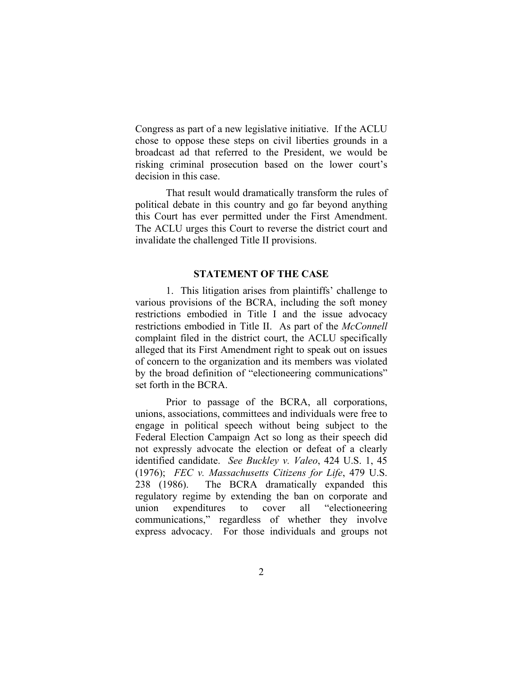Congress as part of a new legislative initiative. If the ACLU chose to oppose these steps on civil liberties grounds in a broadcast ad that referred to the President, we would be risking criminal prosecution based on the lower court's decision in this case.

That result would dramatically transform the rules of political debate in this country and go far beyond anything this Court has ever permitted under the First Amendment. The ACLU urges this Court to reverse the district court and invalidate the challenged Title II provisions.

#### **STATEMENT OF THE CASE**

1. This litigation arises from plaintiffs' challenge to various provisions of the BCRA, including the soft money restrictions embodied in Title I and the issue advocacy restrictions embodied in Title II. As part of the *McConnell*  complaint filed in the district court, the ACLU specifically alleged that its First Amendment right to speak out on issues of concern to the organization and its members was violated by the broad definition of "electioneering communications" set forth in the BCRA.

Prior to passage of the BCRA, all corporations, unions, associations, committees and individuals were free to engage in political speech without being subject to the Federal Election Campaign Act so long as their speech did not expressly advocate the election or defeat of a clearly identified candidate. *See Buckley v. Valeo*, 424 U.S. 1, 45 (1976); *FEC v. Massachusetts Citizens for Life*, 479 U.S. 238 (1986). The BCRA dramatically expanded this regulatory regime by extending the ban on corporate and union expenditures to cover all "electioneering communications," regardless of whether they involve express advocacy. For those individuals and groups not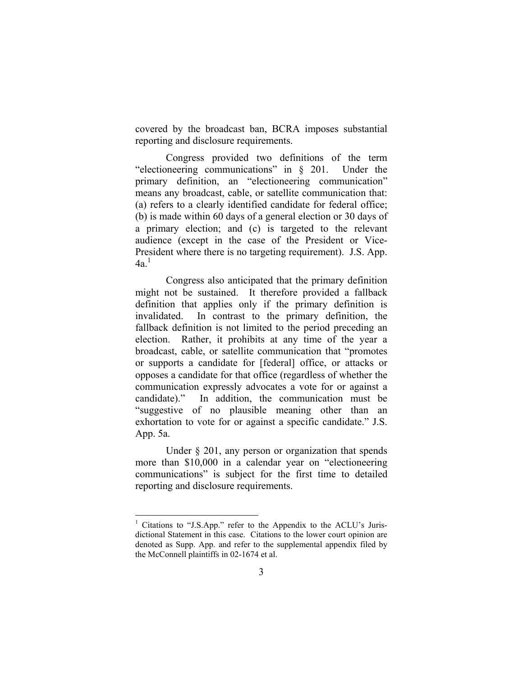covered by the broadcast ban, BCRA imposes substantial reporting and disclosure requirements.

Congress provided two definitions of the term "electioneering communications" in § 201. Under the primary definition, an "electioneering communication" means any broadcast, cable, or satellite communication that: (a) refers to a clearly identified candidate for federal office; (b) is made within 60 days of a general election or 30 days of a primary election; and (c) is targeted to the relevant audience (except in the case of the President or Vice-President where there is no targeting requirement). J.S. App.  $4a<sup>1</sup>$  $4a<sup>1</sup>$  $4a<sup>1</sup>$ 

Congress also anticipated that the primary definition might not be sustained. It therefore provided a fallback definition that applies only if the primary definition is invalidated. In contrast to the primary definition, the fallback definition is not limited to the period preceding an election. Rather, it prohibits at any time of the year a broadcast, cable, or satellite communication that "promotes or supports a candidate for [federal] office, or attacks or opposes a candidate for that office (regardless of whether the communication expressly advocates a vote for or against a candidate)." In addition, the communication must be "suggestive of no plausible meaning other than an exhortation to vote for or against a specific candidate." J.S. App. 5a.

Under § 201, any person or organization that spends more than \$10,000 in a calendar year on "electioneering communications" is subject for the first time to detailed reporting and disclosure requirements.

<span id="page-11-0"></span><sup>&</sup>lt;sup>1</sup> Citations to "J.S.App." refer to the Appendix to the ACLU's Jurisdictional Statement in this case. Citations to the lower court opinion are denoted as Supp. App. and refer to the supplemental appendix filed by the McConnell plaintiffs in 02-1674 et al.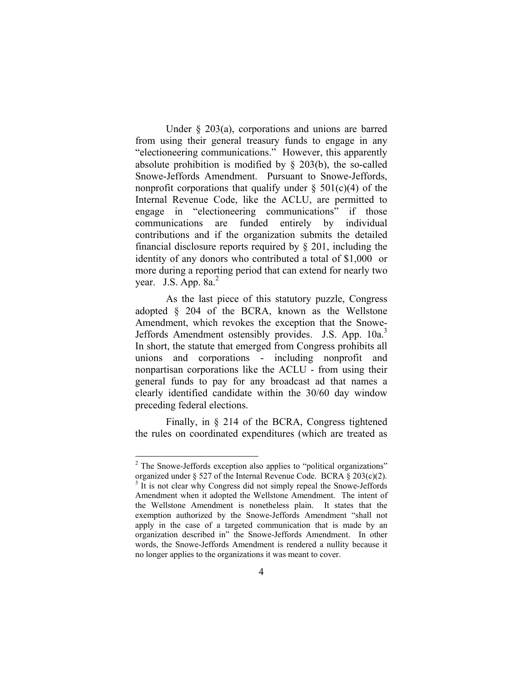Under § 203(a), corporations and unions are barred from using their general treasury funds to engage in any "electioneering communications." However, this apparently absolute prohibition is modified by  $\S$  203(b), the so-called Snowe-Jeffords Amendment. Pursuant to Snowe-Jeffords, nonprofit corporations that qualify under  $\S$  501(c)(4) of the Internal Revenue Code, like the ACLU, are permitted to engage in "electioneering communications" if those communications are funded entirely by individual contributions and if the organization submits the detailed financial disclosure reports required by § 201, including the identity of any donors who contributed a total of \$1,000 or more during a reporting period that can extend for nearly two year. J.S. App. 8a.[2](#page-12-0)

As the last piece of this statutory puzzle, Congress adopted § 204 of the BCRA, known as the Wellstone Amendment, which revokes the exception that the Snowe-Jeffords Amendment ostensibly provides. J.S. App. 10a.<sup>3</sup> In short, the statute that emerged from Congress prohibits all unions and corporations - including nonprofit and nonpartisan corporations like the ACLU - from using their general funds to pay for any broadcast ad that names a clearly identified candidate within the 30/60 day window preceding federal elections.

Finally, in § 214 of the BCRA, Congress tightened the rules on coordinated expenditures (which are treated as

<span id="page-12-1"></span><span id="page-12-0"></span><sup>&</sup>lt;sup>2</sup> The Snowe-Jeffords exception also applies to "political organizations" organized under  $\S 527$  of the Internal Revenue Code. BCRA  $\S 203(c)(2)$ .  $3$  It is not clear why Congress did not simply repeal the Snowe-Jeffords Amendment when it adopted the Wellstone Amendment. The intent of the Wellstone Amendment is nonetheless plain. It states that the exemption authorized by the Snowe-Jeffords Amendment "shall not apply in the case of a targeted communication that is made by an organization described in" the Snowe-Jeffords Amendment. In other words, the Snowe-Jeffords Amendment is rendered a nullity because it no longer applies to the organizations it was meant to cover.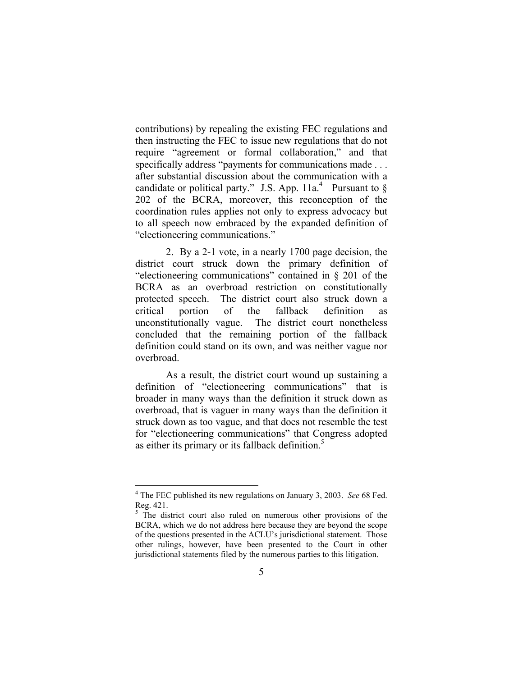contributions) by repealing the existing FEC regulations and then instructing the FEC to issue new regulations that do not require "agreement or formal collaboration," and that specifically address "payments for communications made . . . after substantial discussion about the communication with a candidate or political party." J.S. App.  $11a<sup>4</sup>$  $11a<sup>4</sup>$  $11a<sup>4</sup>$  Pursuant to § 202 of the BCRA, moreover, this reconception of the coordination rules applies not only to express advocacy but to all speech now embraced by the expanded definition of "electioneering communications."

2. By a 2-1 vote, in a nearly 1700 page decision, the district court struck down the primary definition of "electioneering communications" contained in § 201 of the BCRA as an overbroad restriction on constitutionally protected speech. The district court also struck down a critical portion of the fallback definition as unconstitutionally vague. The district court nonetheless concluded that the remaining portion of the fallback definition could stand on its own, and was neither vague nor overbroad.

As a result, the district court wound up sustaining a definition of "electioneering communications" that is broader in many ways than the definition it struck down as overbroad, that is vaguer in many ways than the definition it struck down as too vague, and that does not resemble the test for "electioneering communications" that Congress adopted as either its primary or its fallback definition.<sup>[5](#page-13-1)</sup>

<span id="page-13-0"></span><sup>4</sup> The FEC published its new regulations on January 3, 2003. *See* 68 Fed. Reg. 421.

<span id="page-13-1"></span> $5$  The district court also ruled on numerous other provisions of the BCRA, which we do not address here because they are beyond the scope of the questions presented in the ACLU's jurisdictional statement. Those other rulings, however, have been presented to the Court in other jurisdictional statements filed by the numerous parties to this litigation.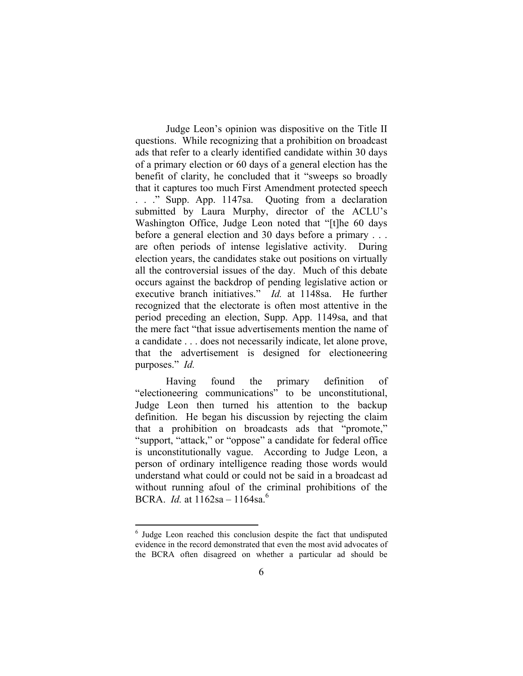<span id="page-14-0"></span>Judge Leon's opinion was dispositive on the Title II questions. While recognizing that a prohibition on broadcast ads that refer to a clearly identified candidate within 30 days of a primary election or 60 days of a general election has the benefit of clarity, he concluded that it "sweeps so broadly that it captures too much First Amendment protected speech . . ." Supp. App. 1147sa. Quoting from a declaration submitted by Laura Murphy, director of the ACLU's Washington Office, Judge Leon noted that "[t]he 60 days before a general election and 30 days before a primary . . . are often periods of intense legislative activity. During election years, the candidates stake out positions on virtually all the controversial issues of the day. Much of this debate occurs against the backdrop of pending legislative action or executive branch initiatives." *Id.* at 1148sa. He further recognized that the electorate is often most attentive in the period preceding an election, Supp. App. 1149sa, and that the mere fact "that issue advertisements mention the name of a candidate . . . does not necessarily indicate, let alone prove, that the advertisement is designed for electioneering purposes." *Id.*

Having found the primary definition of "electioneering communications" to be unconstitutional, Judge Leon then turned his attention to the backup definition. He began his discussion by rejecting the claim that a prohibition on broadcasts ads that "promote," "support, "attack," or "oppose" a candidate for federal office is unconstitutionally vague. According to Judge Leon, a person of ordinary intelligence reading those words would understand what could or could not be said in a broadcast ad without running afoul of the criminal prohibitions of the BCRA. *Id.* at 1162sa – 1164sa.[6](#page-14-0)

<sup>&</sup>lt;sup>6</sup> Judge Leon reached this conclusion despite the fact that undisputed evidence in the record demonstrated that even the most avid advocates of the BCRA often disagreed on whether a particular ad should be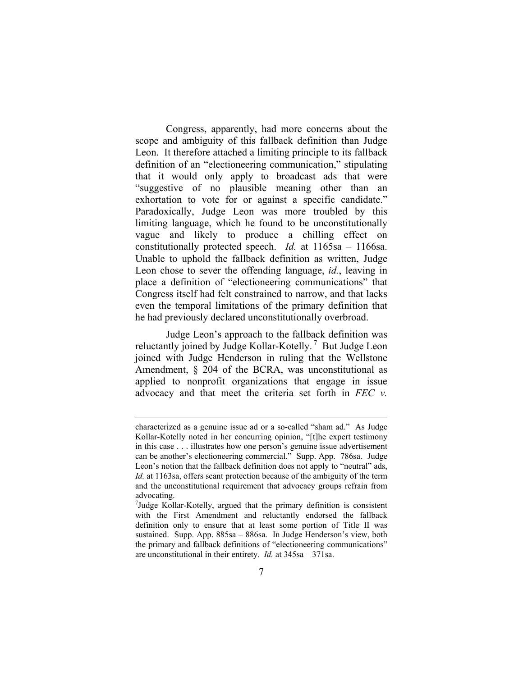Congress, apparently, had more concerns about the scope and ambiguity of this fallback definition than Judge Leon. It therefore attached a limiting principle to its fallback definition of an "electioneering communication," stipulating that it would only apply to broadcast ads that were "suggestive of no plausible meaning other than an exhortation to vote for or against a specific candidate." Paradoxically, Judge Leon was more troubled by this limiting language, which he found to be unconstitutionally vague and likely to produce a chilling effect on constitutionally protected speech. *Id.* at 1165sa – 1166sa. Unable to uphold the fallback definition as written, Judge Leon chose to sever the offending language, *id.*, leaving in place a definition of "electioneering communications" that Congress itself had felt constrained to narrow, and that lacks even the temporal limitations of the primary definition that he had previously declared unconstitutionally overbroad.

Judge Leon's approach to the fallback definition was reluctantly joined by Judge Kollar-Kotelly.<sup>7</sup> But Judge Leon joined with Judge Henderson in ruling that the Wellstone Amendment, § 204 of the BCRA, was unconstitutional as applied to nonprofit organizations that engage in issue advocacy and that meet the criteria set forth in *FEC v.* 

characterized as a genuine issue ad or a so-called "sham ad." As Judge Kollar-Kotelly noted in her concurring opinion, "[t]he expert testimony in this case . . . illustrates how one person's genuine issue advertisement can be another's electioneering commercial." Supp. App. 786sa. Judge Leon's notion that the fallback definition does not apply to "neutral" ads, *Id.* at 1163sa, offers scant protection because of the ambiguity of the term and the unconstitutional requirement that advocacy groups refrain from advocating.

<span id="page-15-0"></span><sup>&</sup>lt;sup>7</sup>Judge Kollar-Kotelly, argued that the primary definition is consistent with the First Amendment and reluctantly endorsed the fallback definition only to ensure that at least some portion of Title II was sustained. Supp. App. 885sa – 886sa. In Judge Henderson's view, both the primary and fallback definitions of "electioneering communications" are unconstitutional in their entirety. *Id.* at 345sa – 371sa.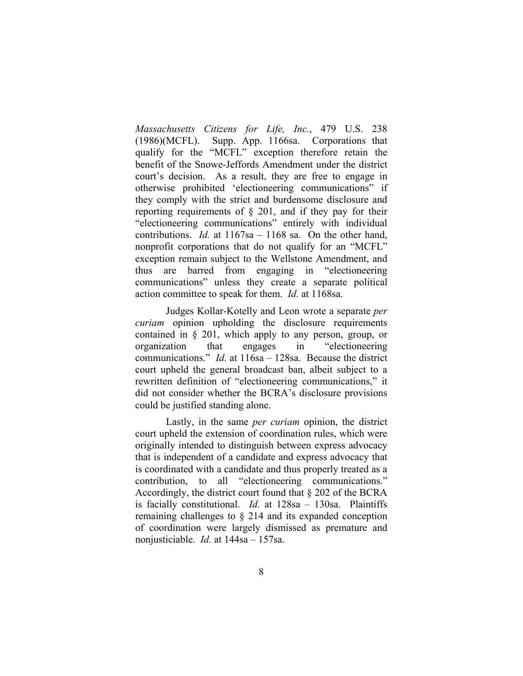*Massachusetts Citizens for Life, Inc.*, 479 U.S. 238 (1986)(MCFL). Supp. App. 1166sa. Corporations that qualify for the "MCFL" exception therefore retain the benefit of the Snowe-Jeffords Amendment under the district court's decision. As a result, they are free to engage in otherwise prohibited 'electioneering communications" if they comply with the strict and burdensome disclosure and reporting requirements of § 201, and if they pay for their "electioneering communications" entirely with individual contributions. *Id.* at 1167sa – 1168 sa. On the other hand, nonprofit corporations that do not qualify for an "MCFL" exception remain subject to the Wellstone Amendment, and thus are barred from engaging in "electioneering communications" unless they create a separate political action committee to speak for them. *Id.* at 1168sa.

Judges Kollar-Kotelly and Leon wrote a separate *per curiam* opinion upholding the disclosure requirements contained in § 201, which apply to any person, group, or organization that engages in "electioneering communications." *Id.* at 116sa – 128sa. Because the district court upheld the general broadcast ban, albeit subject to a rewritten definition of "electioneering communications," it did not consider whether the BCRA's disclosure provisions could be justified standing alone.

Lastly, in the same *per curiam* opinion, the district court upheld the extension of coordination rules, which were originally intended to distinguish between express advocacy that is independent of a candidate and express advocacy that is coordinated with a candidate and thus properly treated as a contribution, to all "electioneering communications." Accordingly, the district court found that § 202 of the BCRA is facially constitutional. *Id.* at 128sa – 130sa.Plaintiffs remaining challenges to § 214 and its expanded conception of coordination were largely dismissed as premature and nonjusticiable. *Id.* at 144sa – 157sa.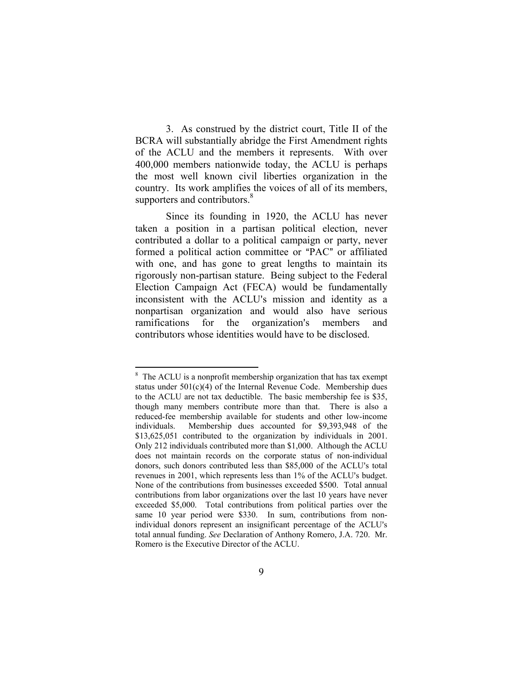3. As construed by the district court, Title II of the BCRA will substantially abridge the First Amendment rights of the ACLU and the members it represents. With over 400,000 members nationwide today, the ACLU is perhaps the most well known civil liberties organization in the country. Its work amplifies the voices of all of its members, supporters and contributors.<sup>[8](#page-17-0)</sup>

Since its founding in 1920, the ACLU has never taken a position in a partisan political election, never contributed a dollar to a political campaign or party, never formed a political action committee or "PAC" or affiliated with one, and has gone to great lengths to maintain its rigorously non-partisan stature. Being subject to the Federal Election Campaign Act (FECA) would be fundamentally inconsistent with the ACLU's mission and identity as a nonpartisan organization and would also have serious ramifications for the organization's members and contributors whose identities would have to be disclosed.

<span id="page-17-0"></span><sup>&</sup>lt;sup>8</sup> The ACLU is a nonprofit membership organization that has tax exempt status under  $501(c)(4)$  of the Internal Revenue Code. Membership dues to the ACLU are not tax deductible. The basic membership fee is \$35, though many members contribute more than that. There is also a reduced-fee membership available for students and other low-income individuals. Membership dues accounted for \$9,393,948 of the \$13,625,051 contributed to the organization by individuals in 2001. Only 212 individuals contributed more than \$1,000. Although the ACLU does not maintain records on the corporate status of non-individual donors, such donors contributed less than \$85,000 of the ACLU's total revenues in 2001, which represents less than 1% of the ACLU's budget. None of the contributions from businesses exceeded \$500. Total annual contributions from labor organizations over the last 10 years have never exceeded \$5,000. Total contributions from political parties over the same 10 year period were \$330. In sum, contributions from nonindividual donors represent an insignificant percentage of the ACLU's total annual funding. *See* Declaration of Anthony Romero, J.A. 720. Mr. Romero is the Executive Director of the ACLU.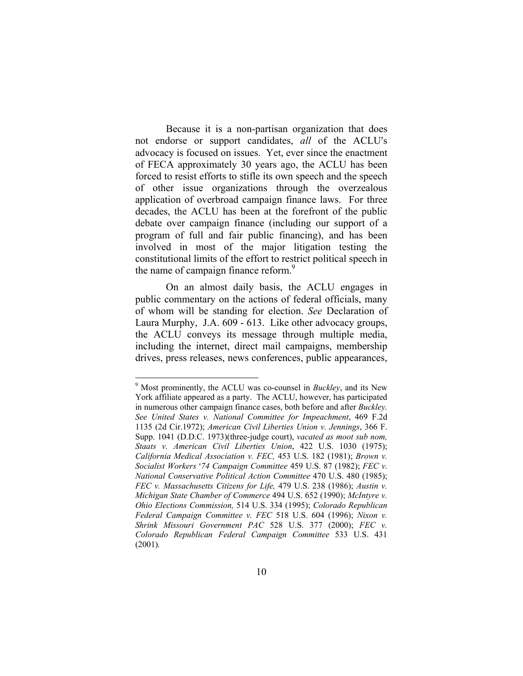Because it is a non-partisan organization that does not endorse or support candidates, *all* of the ACLU's advocacy is focused on issues. Yet, ever since the enactment of FECA approximately 30 years ago, the ACLU has been forced to resist efforts to stifle its own speech and the speech of other issue organizations through the overzealous application of overbroad campaign finance laws. For three decades, the ACLU has been at the forefront of the public debate over campaign finance (including our support of a program of full and fair public financing), and has been involved in most of the major litigation testing the constitutional limits of the effort to restrict political speech in the name of campaign finance reform.<sup>9</sup>

On an almost daily basis, the ACLU engages in public commentary on the actions of federal officials, many of whom will be standing for election. *See* Declaration of Laura Murphy, J.A. 609 - 613. Like other advocacy groups, the ACLU conveys its message through multiple media, including the internet, direct mail campaigns, membership drives, press releases, news conferences, public appearances,

<span id="page-18-0"></span><sup>9</sup> Most prominently, the ACLU was co-counsel in *Buckley*, and its New York affiliate appeared as a party. The ACLU, however, has participated in numerous other campaign finance cases, both before and after *Buckley. See United States v. National Committee for Impeachment*, 469 F.2d 1135 (2d Cir.1972); *American Civil Liberties Union v. Jennings*, 366 F. Supp. 1041 (D.D.C. 1973)(three-judge court), *vacated as moot sub nom, Staats v. American Civil Liberties Union*, 422 U.S. 1030 (1975); *California Medical Association v. FEC,* 453 U.S. 182 (1981); *Brown v. Socialist Workers* >*74 Campaign Committee* 459 U.S. 87 (1982); *FEC v. National Conservative Political Action Committee* 470 U.S. 480 (1985); *FEC v. Massachusetts Citizens for Life,* 479 U.S. 238 (1986); *Austin v. Michigan State Chamber of Commerce* 494 U.S. 652 (1990); *McIntyre v. Ohio Elections Commission,* 514 U.S. 334 (1995); *Colorado Republican Federal Campaign Committee v. FEC* 518 U.S. 604 (1996); *Nixon v. Shrink Missouri Government PAC* 528 U.S. 377 (2000); *FEC v. Colorado Republican Federal Campaign Committee* 533 U.S. 431 (2001)*.*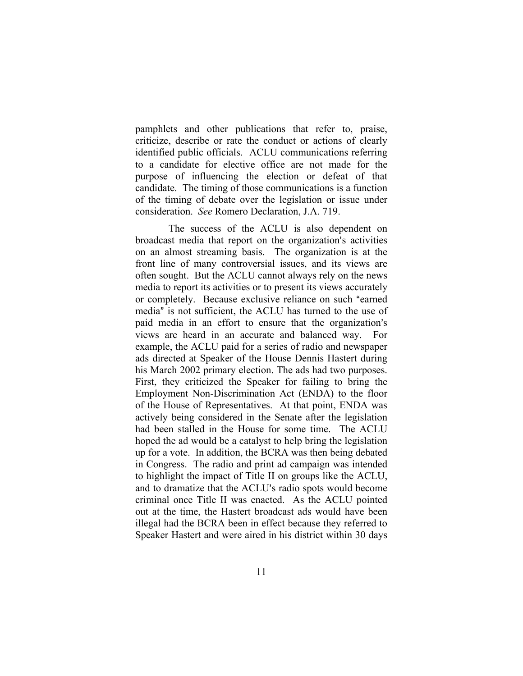pamphlets and other publications that refer to, praise, criticize, describe or rate the conduct or actions of clearly identified public officials. ACLU communications referring to a candidate for elective office are not made for the purpose of influencing the election or defeat of that candidate. The timing of those communications is a function of the timing of debate over the legislation or issue under consideration. *See* Romero Declaration, J.A. 719.

 The success of the ACLU is also dependent on broadcast media that report on the organization's activities on an almost streaming basis. The organization is at the front line of many controversial issues, and its views are often sought. But the ACLU cannot always rely on the news media to report its activities or to present its views accurately or completely. Because exclusive reliance on such "earned" media" is not sufficient, the ACLU has turned to the use of paid media in an effort to ensure that the organization's views are heard in an accurate and balanced way. For example, the ACLU paid for a series of radio and newspaper ads directed at Speaker of the House Dennis Hastert during his March 2002 primary election. The ads had two purposes. First, they criticized the Speaker for failing to bring the Employment Non-Discrimination Act (ENDA) to the floor of the House of Representatives. At that point, ENDA was actively being considered in the Senate after the legislation had been stalled in the House for some time. The ACLU hoped the ad would be a catalyst to help bring the legislation up for a vote. In addition, the BCRA was then being debated in Congress. The radio and print ad campaign was intended to highlight the impact of Title II on groups like the ACLU, and to dramatize that the ACLU's radio spots would become criminal once Title II was enacted. As the ACLU pointed out at the time, the Hastert broadcast ads would have been illegal had the BCRA been in effect because they referred to Speaker Hastert and were aired in his district within 30 days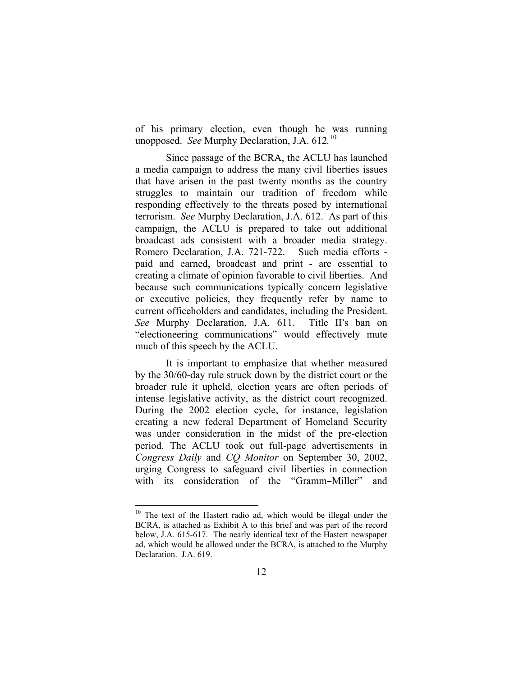of his primary election, even though he was running unopposed. *See* Murphy Declaration, J.A. 612*.* [10](#page-20-0)

Since passage of the BCRA, the ACLU has launched a media campaign to address the many civil liberties issues that have arisen in the past twenty months as the country struggles to maintain our tradition of freedom while responding effectively to the threats posed by international terrorism. *See* Murphy Declaration, J.A. 612. As part of this campaign, the ACLU is prepared to take out additional broadcast ads consistent with a broader media strategy. Romero Declaration, J.A. 721-722.Such media efforts paid and earned, broadcast and print - are essential to creating a climate of opinion favorable to civil liberties. And because such communications typically concern legislative or executive policies, they frequently refer by name to current officeholders and candidates, including the President. *See* Murphy Declaration, J.A. 611. Title II's ban on "electioneering communications" would effectively mute much of this speech by the ACLU.

It is important to emphasize that whether measured by the 30/60-day rule struck down by the district court or the broader rule it upheld, election years are often periods of intense legislative activity, as the district court recognized. During the 2002 election cycle, for instance, legislation creating a new federal Department of Homeland Security was under consideration in the midst of the pre-election period. The ACLU took out full-page advertisements in *Congress Daily* and *CQ Monitor* on September 30, 2002, urging Congress to safeguard civil liberties in connection with its consideration of the "Gramm-Miller" and

<span id="page-20-0"></span><sup>&</sup>lt;sup>10</sup> The text of the Hastert radio ad, which would be illegal under the BCRA, is attached as Exhibit A to this brief and was part of the record below, J.A. 615-617. The nearly identical text of the Hastert newspaper ad, which would be allowed under the BCRA, is attached to the Murphy Declaration. J.A. 619.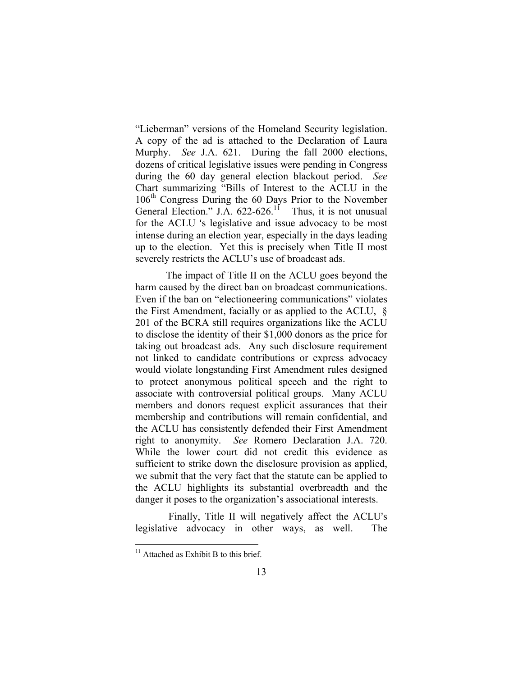"Lieberman" versions of the Homeland Security legislation. A copy of the ad is attached to the Declaration of Laura Murphy. *See* J.A. 621. During the fall 2000 elections, dozens of critical legislative issues were pending in Congress during the 60 day general election blackout period. *See* Chart summarizing "Bills of Interest to the ACLU in the 106<sup>th</sup> Congress During the 60 Days Prior to the November General Election." J.A.  $622-626$ .<sup>11</sup> Thus, it is not unusual for the ACLU 's legislative and issue advocacy to be most intense during an election year, especially in the days leading up to the election. Yet this is precisely when Title II most severely restricts the ACLU's use of broadcast ads.

The impact of Title II on the ACLU goes beyond the harm caused by the direct ban on broadcast communications. Even if the ban on "electioneering communications" violates the First Amendment, facially or as applied to the ACLU, § 201 of the BCRA still requires organizations like the ACLU to disclose the identity of their \$1,000 donors as the price for taking out broadcast ads. Any such disclosure requirement not linked to candidate contributions or express advocacy would violate longstanding First Amendment rules designed to protect anonymous political speech and the right to associate with controversial political groups. Many ACLU members and donors request explicit assurances that their membership and contributions will remain confidential, and the ACLU has consistently defended their First Amendment right to anonymity. *See* Romero Declaration J.A. 720. While the lower court did not credit this evidence as sufficient to strike down the disclosure provision as applied, we submit that the very fact that the statute can be applied to the ACLU highlights its substantial overbreadth and the danger it poses to the organization's associational interests.

Finally, Title II will negatively affect the ACLU's legislative advocacy in other ways, as well. The

<span id="page-21-0"></span><sup>&</sup>lt;sup>11</sup> Attached as Exhibit B to this brief.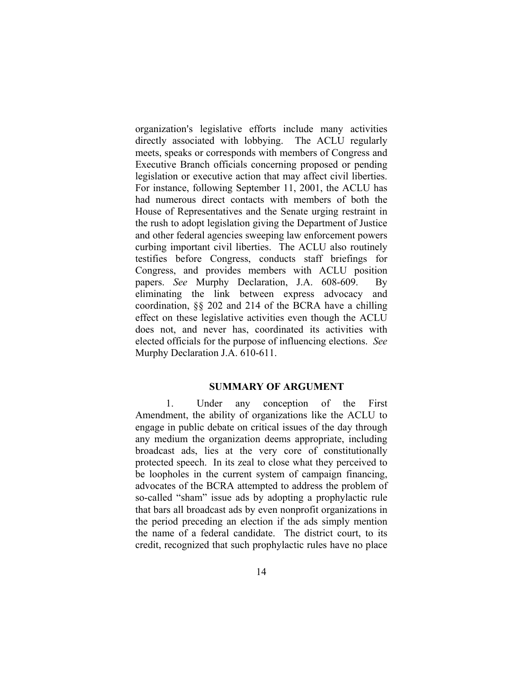organization's legislative efforts include many activities directly associated with lobbying. The ACLU regularly meets, speaks or corresponds with members of Congress and Executive Branch officials concerning proposed or pending legislation or executive action that may affect civil liberties. For instance, following September 11, 2001, the ACLU has had numerous direct contacts with members of both the House of Representatives and the Senate urging restraint in the rush to adopt legislation giving the Department of Justice and other federal agencies sweeping law enforcement powers curbing important civil liberties. The ACLU also routinely testifies before Congress, conducts staff briefings for Congress, and provides members with ACLU position papers. *See* Murphy Declaration, J.A. 608-609. By eliminating the link between express advocacy and coordination, §§ 202 and 214 of the BCRA have a chilling effect on these legislative activities even though the ACLU does not, and never has, coordinated its activities with elected officials for the purpose of influencing elections. *See*  Murphy Declaration J.A. 610-611.

#### **SUMMARY OF ARGUMENT**

1. Under any conception of the First Amendment, the ability of organizations like the ACLU to engage in public debate on critical issues of the day through any medium the organization deems appropriate, including broadcast ads, lies at the very core of constitutionally protected speech. In its zeal to close what they perceived to be loopholes in the current system of campaign financing, advocates of the BCRA attempted to address the problem of so-called "sham" issue ads by adopting a prophylactic rule that bars all broadcast ads by even nonprofit organizations in the period preceding an election if the ads simply mention the name of a federal candidate. The district court, to its credit, recognized that such prophylactic rules have no place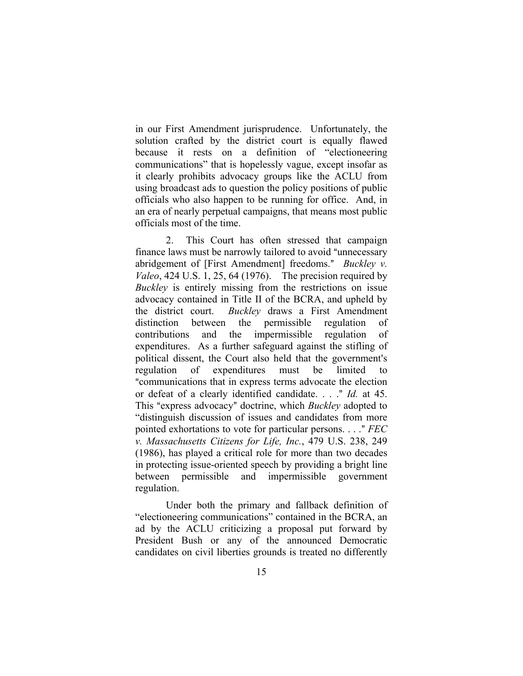in our First Amendment jurisprudence. Unfortunately, the solution crafted by the district court is equally flawed because it rests on a definition of "electioneering communications" that is hopelessly vague, except insofar as it clearly prohibits advocacy groups like the ACLU from using broadcast ads to question the policy positions of public officials who also happen to be running for office. And, in an era of nearly perpetual campaigns, that means most public officials most of the time.

2. This Court has often stressed that campaign finance laws must be narrowly tailored to avoid "unnecessary" abridgement of [First Amendment] freedoms." *Buckley v. Valeo*, 424 U.S. 1, 25, 64 (1976). The precision required by *Buckley* is entirely missing from the restrictions on issue advocacy contained in Title II of the BCRA, and upheld by the district court. *Buckley* draws a First Amendment distinction between the permissible regulation of contributions and the impermissible regulation of expenditures. As a further safeguard against the stifling of political dissent, the Court also held that the government's regulation of expenditures must be limited to "communications that in express terms advocate the election or defeat of a clearly identified candidate. . . ." *Id.* at 45. This "express advocacy" doctrine, which *Buckley* adopted to "distinguish discussion of issues and candidates from more pointed exhortations to vote for particular persons. . . . " *FEC v. Massachusetts Citizens for Life, Inc.*, 479 U.S. 238, 249 (1986), has played a critical role for more than two decades in protecting issue-oriented speech by providing a bright line between permissible and impermissible government regulation.

Under both the primary and fallback definition of "electioneering communications" contained in the BCRA, an ad by the ACLU criticizing a proposal put forward by President Bush or any of the announced Democratic candidates on civil liberties grounds is treated no differently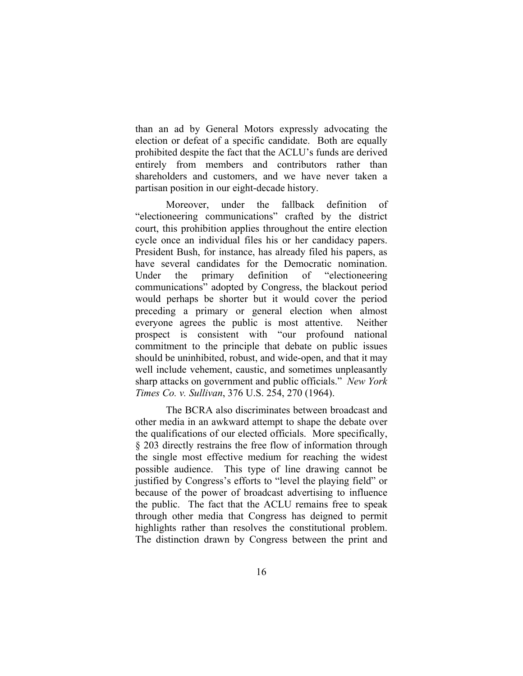than an ad by General Motors expressly advocating the election or defeat of a specific candidate. Both are equally prohibited despite the fact that the ACLU's funds are derived entirely from members and contributors rather than shareholders and customers, and we have never taken a partisan position in our eight-decade history.

Moreover, under the fallback definition of "electioneering communications" crafted by the district court, this prohibition applies throughout the entire election cycle once an individual files his or her candidacy papers. President Bush, for instance, has already filed his papers, as have several candidates for the Democratic nomination. Under the primary definition of "electioneering communications" adopted by Congress, the blackout period would perhaps be shorter but it would cover the period preceding a primary or general election when almost everyone agrees the public is most attentive. Neither prospect is consistent with "our profound national commitment to the principle that debate on public issues should be uninhibited, robust, and wide-open, and that it may well include vehement, caustic, and sometimes unpleasantly sharp attacks on government and public officials." *New York Times Co. v. Sullivan*, 376 U.S. 254, 270 (1964).

The BCRA also discriminates between broadcast and other media in an awkward attempt to shape the debate over the qualifications of our elected officials. More specifically, § 203 directly restrains the free flow of information through the single most effective medium for reaching the widest possible audience. This type of line drawing cannot be justified by Congress's efforts to "level the playing field" or because of the power of broadcast advertising to influence the public. The fact that the ACLU remains free to speak through other media that Congress has deigned to permit highlights rather than resolves the constitutional problem. The distinction drawn by Congress between the print and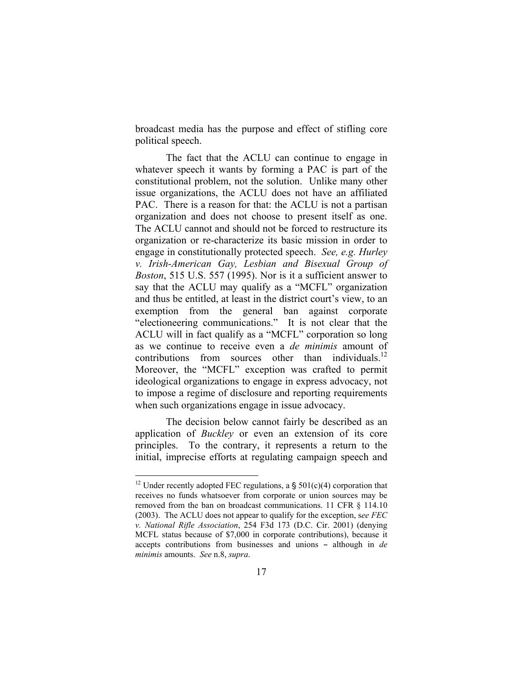broadcast media has the purpose and effect of stifling core political speech.

The fact that the ACLU can continue to engage in whatever speech it wants by forming a PAC is part of the constitutional problem, not the solution. Unlike many other issue organizations, the ACLU does not have an affiliated PAC. There is a reason for that: the ACLU is not a partisan organization and does not choose to present itself as one. The ACLU cannot and should not be forced to restructure its organization or re-characterize its basic mission in order to engage in constitutionally protected speech. *See, e.g. Hurley v. Irish-American Gay, Lesbian and Bisexual Group of Boston*, 515 U.S. 557 (1995). Nor is it a sufficient answer to say that the ACLU may qualify as a "MCFL" organization and thus be entitled, at least in the district court's view, to an exemption from the general ban against corporate "electioneering communications." It is not clear that the ACLU will in fact qualify as a "MCFL" corporation so long as we continue to receive even a *de minimis* amount of contributions from sources other than individuals. $^{12}$ Moreover, the "MCFL" exception was crafted to permit ideological organizations to engage in express advocacy, not to impose a regime of disclosure and reporting requirements when such organizations engage in issue advocacy.

The decision below cannot fairly be described as an application of *Buckley* or even an extension of its core principles. To the contrary, it represents a return to the initial, imprecise efforts at regulating campaign speech and

<span id="page-25-0"></span><sup>&</sup>lt;sup>12</sup> Under recently adopted FEC regulations, a  $\frac{12}{10}$  Corporation that receives no funds whatsoever from corporate or union sources may be removed from the ban on broadcast communications. 11 CFR § 114.10 (2003). The ACLU does not appear to qualify for the exception, s*ee FEC v. National Rifle Association*, 254 F3d 173 (D.C. Cir. 2001) (denying MCFL status because of \$7,000 in corporate contributions), because it accepts contributions from businesses and unions - although in *de minimis* amounts. *See* n.8, *supra*.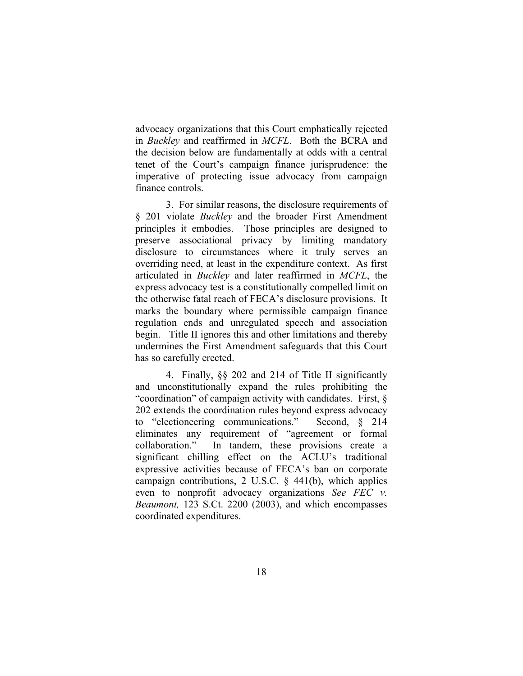advocacy organizations that this Court emphatically rejected in *Buckley* and reaffirmed in *MCFL*. Both the BCRA and the decision below are fundamentally at odds with a central tenet of the Court's campaign finance jurisprudence: the imperative of protecting issue advocacy from campaign finance controls.

3. For similar reasons, the disclosure requirements of § 201 violate *Buckley* and the broader First Amendment principles it embodies. Those principles are designed to preserve associational privacy by limiting mandatory disclosure to circumstances where it truly serves an overriding need, at least in the expenditure context. As first articulated in *Buckley* and later reaffirmed in *MCFL*, the express advocacy test is a constitutionally compelled limit on the otherwise fatal reach of FECA's disclosure provisions. It marks the boundary where permissible campaign finance regulation ends and unregulated speech and association begin. Title II ignores this and other limitations and thereby undermines the First Amendment safeguards that this Court has so carefully erected.

4. Finally, §§ 202 and 214 of Title II significantly and unconstitutionally expand the rules prohibiting the "coordination" of campaign activity with candidates. First, § 202 extends the coordination rules beyond express advocacy to "electioneering communications." Second, § 214 eliminates any requirement of "agreement or formal collaboration." In tandem, these provisions create a significant chilling effect on the ACLU's traditional expressive activities because of FECA's ban on corporate campaign contributions, 2 U.S.C. § 441(b), which applies even to nonprofit advocacy organizations *See FEC v. Beaumont,* 123 S.Ct. 2200 (2003), and which encompasses coordinated expenditures.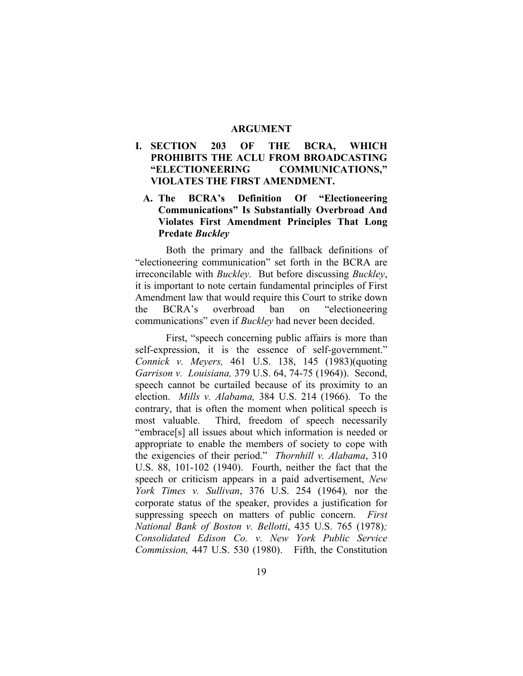#### **ARGUMENT**

### **I. SECTION 203 OF THE BCRA, WHICH PROHIBITS THE ACLU FROM BROADCASTING "ELECTIONEERING COMMUNICATIONS," VIOLATES THE FIRST AMENDMENT.**

## **A. The BCRA's Definition Of "Electioneering Communications" Is Substantially Overbroad And Violates First Amendment Principles That Long Predate** *Buckley*

Both the primary and the fallback definitions of "electioneering communication" set forth in the BCRA are irreconcilable with *Buckley.* But before discussing *Buckley*, it is important to note certain fundamental principles of First Amendment law that would require this Court to strike down the BCRA's overbroad ban on "electioneering communications" even if *Buckley* had never been decided.

First, "speech concerning public affairs is more than self-expression, it is the essence of self-government." *Connick v. Meyers,* 461 U.S. 138, 145 (1983)(quoting *Garrison v. Louisiana,* 379 U.S. 64, 74-75 (1964)). Second, speech cannot be curtailed because of its proximity to an election. *Mills v. Alabama,* 384 U.S. 214 (1966). To the contrary, that is often the moment when political speech is most valuable. Third, freedom of speech necessarily "embrace[s] all issues about which information is needed or appropriate to enable the members of society to cope with the exigencies of their period." *Thornhill v. Alabama*, 310 U.S. 88, 101-102 (1940). Fourth, neither the fact that the speech or criticism appears in a paid advertisement, *New York Times v. Sullivan*, 376 U.S. 254 (1964)*,* nor the corporate status of the speaker, provides a justification for suppressing speech on matters of public concern. *First National Bank of Boston v. Bellotti*, 435 U.S. 765 (1978)*; Consolidated Edison Co. v. New York Public Service Commission,* 447 U.S. 530 (1980). Fifth, the Constitution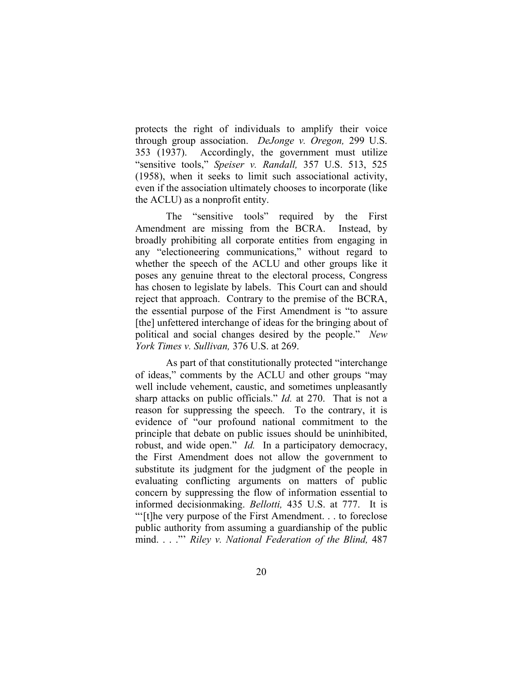protects the right of individuals to amplify their voice through group association. *DeJonge v. Oregon,* 299 U.S. 353 (1937). Accordingly, the government must utilize "sensitive tools," *Speiser v. Randall,* 357 U.S. 513, 525 (1958), when it seeks to limit such associational activity, even if the association ultimately chooses to incorporate (like the ACLU) as a nonprofit entity.

The "sensitive tools" required by the First Amendment are missing from the BCRA. Instead, by broadly prohibiting all corporate entities from engaging in any "electioneering communications," without regard to whether the speech of the ACLU and other groups like it poses any genuine threat to the electoral process, Congress has chosen to legislate by labels. This Court can and should reject that approach. Contrary to the premise of the BCRA, the essential purpose of the First Amendment is "to assure [the] unfettered interchange of ideas for the bringing about of political and social changes desired by the people." *New York Times v. Sullivan,* 376 U.S. at 269.

As part of that constitutionally protected "interchange of ideas," comments by the ACLU and other groups "may well include vehement, caustic, and sometimes unpleasantly sharp attacks on public officials." *Id.* at 270. That is not a reason for suppressing the speech. To the contrary, it is evidence of "our profound national commitment to the principle that debate on public issues should be uninhibited, robust, and wide open." *Id.* In a participatory democracy, the First Amendment does not allow the government to substitute its judgment for the judgment of the people in evaluating conflicting arguments on matters of public concern by suppressing the flow of information essential to informed decisionmaking. *Bellotti,* 435 U.S. at 777. It is "'[t]he very purpose of the First Amendment. . . to foreclose public authority from assuming a guardianship of the public mind. . . ."' *Riley v. National Federation of the Blind,* 487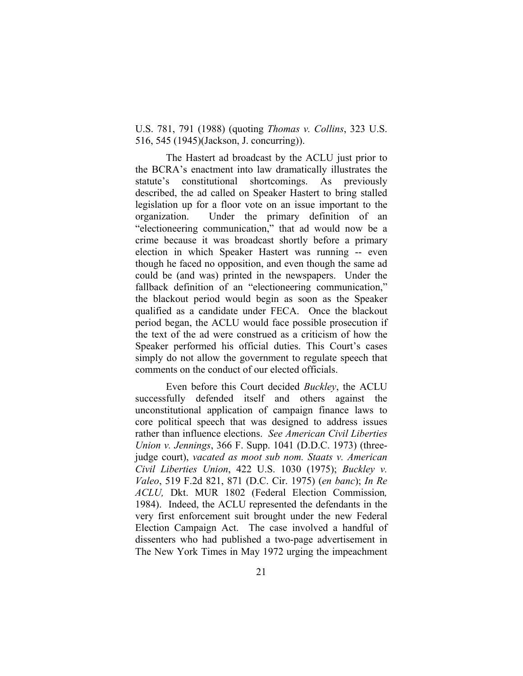U.S. 781, 791 (1988) (quoting *Thomas v. Collins*, 323 U.S. 516, 545 (1945)(Jackson, J. concurring)).

The Hastert ad broadcast by the ACLU just prior to the BCRA's enactment into law dramatically illustrates the statute's constitutional shortcomings. As previously described, the ad called on Speaker Hastert to bring stalled legislation up for a floor vote on an issue important to the organization. Under the primary definition of an "electioneering communication," that ad would now be a crime because it was broadcast shortly before a primary election in which Speaker Hastert was running -- even though he faced no opposition, and even though the same ad could be (and was) printed in the newspapers. Under the fallback definition of an "electioneering communication," the blackout period would begin as soon as the Speaker qualified as a candidate under FECA. Once the blackout period began, the ACLU would face possible prosecution if the text of the ad were construed as a criticism of how the Speaker performed his official duties. This Court's cases simply do not allow the government to regulate speech that comments on the conduct of our elected officials.

Even before this Court decided *Buckley*, the ACLU successfully defended itself and others against the unconstitutional application of campaign finance laws to core political speech that was designed to address issues rather than influence elections. *See American Civil Liberties Union v. Jennings*, 366 F. Supp. 1041 (D.D.C. 1973) (threejudge court), *vacated as moot sub nom. Staats v. American Civil Liberties Union*, 422 U.S. 1030 (1975); *Buckley v. Valeo*, 519 F.2d 821, 871 (D.C. Cir. 1975) (*en banc*); *In Re ACLU,* Dkt. MUR 1802 (Federal Election Commission*,*  1984). Indeed, the ACLU represented the defendants in the very first enforcement suit brought under the new Federal Election Campaign Act. The case involved a handful of dissenters who had published a two-page advertisement in The New York Times in May 1972 urging the impeachment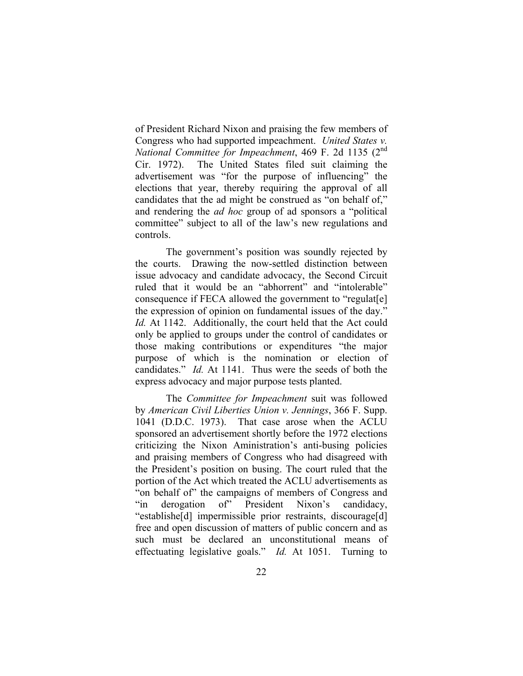of President Richard Nixon and praising the few members of Congress who had supported impeachment. *United States v. National Committee for Impeachment*, 469 F. 2d 1135 (2<sup>nd</sup>) Cir. 1972). The United States filed suit claiming the advertisement was "for the purpose of influencing" the elections that year, thereby requiring the approval of all candidates that the ad might be construed as "on behalf of," and rendering the *ad hoc* group of ad sponsors a "political committee" subject to all of the law's new regulations and controls.

The government's position was soundly rejected by the courts. Drawing the now-settled distinction between issue advocacy and candidate advocacy, the Second Circuit ruled that it would be an "abhorrent" and "intolerable" consequence if FECA allowed the government to "regulate the expression of opinion on fundamental issues of the day." *Id.* At 1142. Additionally, the court held that the Act could only be applied to groups under the control of candidates or those making contributions or expenditures "the major purpose of which is the nomination or election of candidates." *Id.* At 1141. Thus were the seeds of both the express advocacy and major purpose tests planted.

 The *Committee for Impeachment* suit was followed by *American Civil Liberties Union v. Jennings*, 366 F. Supp. 1041 (D.D.C. 1973). That case arose when the ACLU sponsored an advertisement shortly before the 1972 elections criticizing the Nixon Aministration's anti-busing policies and praising members of Congress who had disagreed with the President's position on busing. The court ruled that the portion of the Act which treated the ACLU advertisements as "on behalf of" the campaigns of members of Congress and "in derogation of" President Nixon's candidacy, "establishe[d] impermissible prior restraints, discourage[d] free and open discussion of matters of public concern and as such must be declared an unconstitutional means of effectuating legislative goals." *Id.* At 1051. Turning to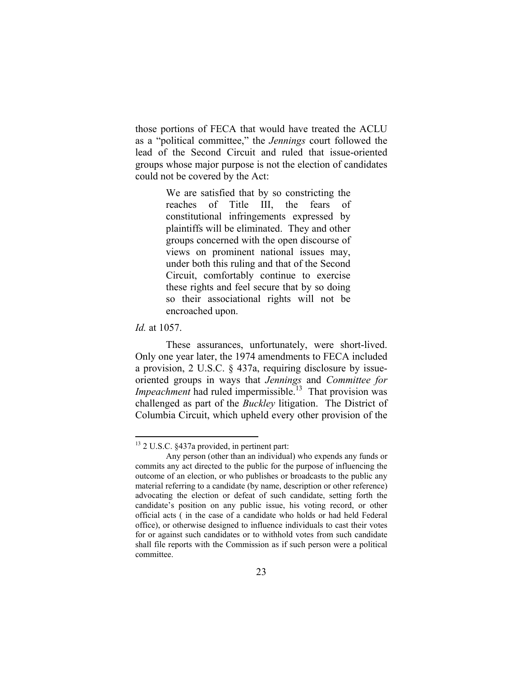those portions of FECA that would have treated the ACLU as a "political committee," the *Jennings* court followed the lead of the Second Circuit and ruled that issue-oriented groups whose major purpose is not the election of candidates could not be covered by the Act:

> We are satisfied that by so constricting the reaches of Title III, the fears of constitutional infringements expressed by plaintiffs will be eliminated. They and other groups concerned with the open discourse of views on prominent national issues may, under both this ruling and that of the Second Circuit, comfortably continue to exercise these rights and feel secure that by so doing so their associational rights will not be encroached upon.

*Id.* at 1057.

 $\overline{a}$ 

These assurances, unfortunately, were short-lived. Only one year later, the 1974 amendments to FECA included a provision, 2 U.S.C. § 437a, requiring disclosure by issueoriented groups in ways that *Jennings* and *Committee for Impeachment* had ruled impermissible.<sup>13</sup> That provision was challenged as part of the *Buckley* litigation. The District of Columbia Circuit, which upheld every other provision of the

<span id="page-31-0"></span><sup>&</sup>lt;sup>13</sup> 2 U.S.C. §437a provided, in pertinent part:

Any person (other than an individual) who expends any funds or commits any act directed to the public for the purpose of influencing the outcome of an election, or who publishes or broadcasts to the public any material referring to a candidate (by name, description or other reference) advocating the election or defeat of such candidate, setting forth the candidate's position on any public issue, his voting record, or other official acts ( in the case of a candidate who holds or had held Federal office), or otherwise designed to influence individuals to cast their votes for or against such candidates or to withhold votes from such candidate shall file reports with the Commission as if such person were a political committee.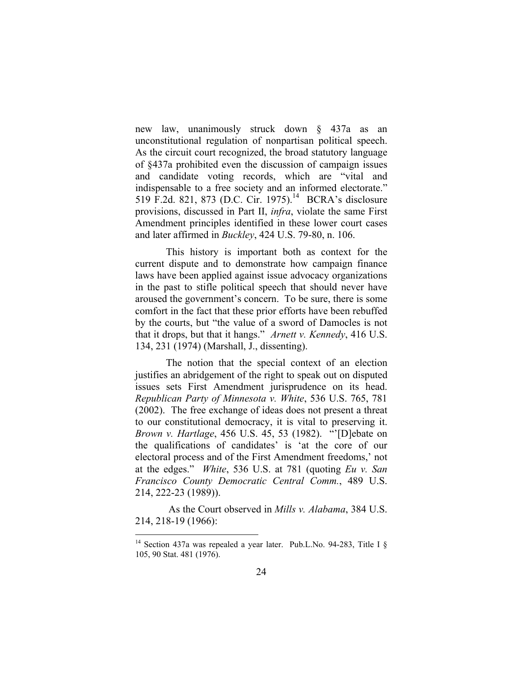new law, unanimously struck down § 437a as an unconstitutional regulation of nonpartisan political speech. As the circuit court recognized, the broad statutory language of §437a prohibited even the discussion of campaign issues and candidate voting records, which are "vital and indispensable to a free society and an informed electorate." 519 F.2d. 821, 873 (D.C. Cir. 1975).<sup>14</sup> BCRA's disclosure provisions, discussed in Part II, *infra*, violate the same First Amendment principles identified in these lower court cases and later affirmed in *Buckley*, 424 U.S. 79-80, n. 106.

This history is important both as context for the current dispute and to demonstrate how campaign finance laws have been applied against issue advocacy organizations in the past to stifle political speech that should never have aroused the government's concern. To be sure, there is some comfort in the fact that these prior efforts have been rebuffed by the courts, but "the value of a sword of Damocles is not that it drops, but that it hangs." *Arnett v. Kennedy*, 416 U.S. 134, 231 (1974) (Marshall, J., dissenting).

The notion that the special context of an election justifies an abridgement of the right to speak out on disputed issues sets First Amendment jurisprudence on its head. *Republican Party of Minnesota v. White*, 536 U.S. 765, 781 (2002). The free exchange of ideas does not present a threat to our constitutional democracy, it is vital to preserving it. *Brown v. Hartlage*, 456 U.S. 45, 53 (1982). "'[D]ebate on the qualifications of candidates' is 'at the core of our electoral process and of the First Amendment freedoms,' not at the edges." *White*, 536 U.S. at 781 (quoting *Eu v. San Francisco County Democratic Central Comm.*, 489 U.S. 214, 222-23 (1989)).

As the Court observed in *Mills v. Alabama*, 384 U.S. 214, 218-19 (1966):

<span id="page-32-0"></span><sup>&</sup>lt;sup>14</sup> Section 437a was repealed a year later. Pub.L.No. 94-283, Title I § 105, 90 Stat. 481 (1976).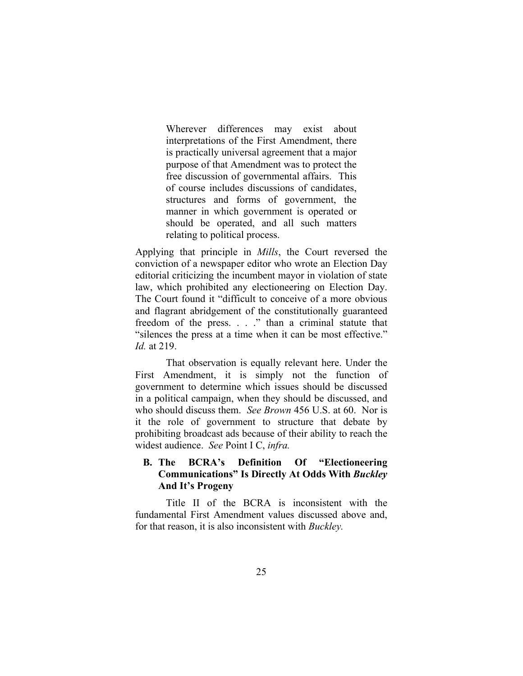Wherever differences may exist about interpretations of the First Amendment, there is practically universal agreement that a major purpose of that Amendment was to protect the free discussion of governmental affairs. This of course includes discussions of candidates, structures and forms of government, the manner in which government is operated or should be operated, and all such matters relating to political process.

Applying that principle in *Mills*, the Court reversed the conviction of a newspaper editor who wrote an Election Day editorial criticizing the incumbent mayor in violation of state law, which prohibited any electioneering on Election Day. The Court found it "difficult to conceive of a more obvious and flagrant abridgement of the constitutionally guaranteed freedom of the press. . . ." than a criminal statute that "silences the press at a time when it can be most effective." *Id.* at 219.

That observation is equally relevant here. Under the First Amendment, it is simply not the function of government to determine which issues should be discussed in a political campaign, when they should be discussed, and who should discuss them. *See Brown* 456 U.S. at 60. Nor is it the role of government to structure that debate by prohibiting broadcast ads because of their ability to reach the widest audience. *See* Point I C, *infra.*

### **B. The BCRA's Definition Of "Electioneering Communications" Is Directly At Odds With** *Buckley* **And It's Progeny**

Title II of the BCRA is inconsistent with the fundamental First Amendment values discussed above and, for that reason, it is also inconsistent with *Buckley.*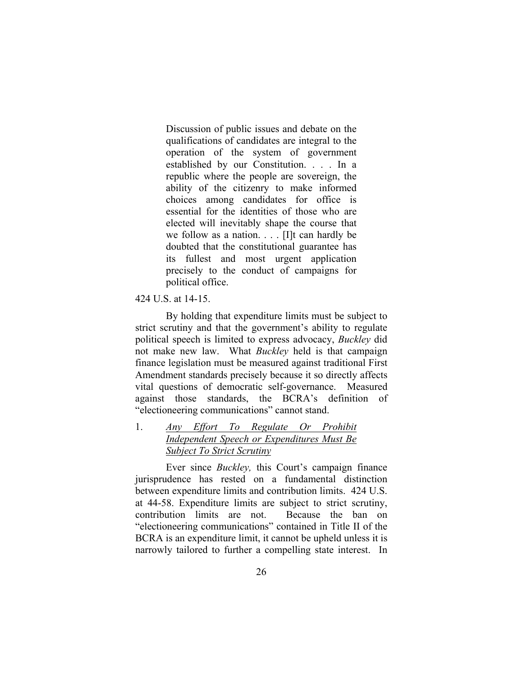Discussion of public issues and debate on the qualifications of candidates are integral to the operation of the system of government established by our Constitution. . . . In a republic where the people are sovereign, the ability of the citizenry to make informed choices among candidates for office is essential for the identities of those who are elected will inevitably shape the course that we follow as a nation. . . . [I]t can hardly be doubted that the constitutional guarantee has its fullest and most urgent application precisely to the conduct of campaigns for political office.

#### 424 U.S. at 14-15.

By holding that expenditure limits must be subject to strict scrutiny and that the government's ability to regulate political speech is limited to express advocacy, *Buckley* did not make new law. What *Buckley* held is that campaign finance legislation must be measured against traditional First Amendment standards precisely because it so directly affects vital questions of democratic self-governance. Measured against those standards, the BCRA's definition of "electioneering communications" cannot stand.

## 1. *Any Effort To Regulate Or Prohibit Independent Speech or Expenditures Must Be Subject To Strict Scrutiny*

 Ever since *Buckley,* this Court's campaign finance jurisprudence has rested on a fundamental distinction between expenditure limits and contribution limits. 424 U.S. at 44-58. Expenditure limits are subject to strict scrutiny, contribution limits are not. Because the ban on "electioneering communications" contained in Title II of the BCRA is an expenditure limit, it cannot be upheld unless it is narrowly tailored to further a compelling state interest. In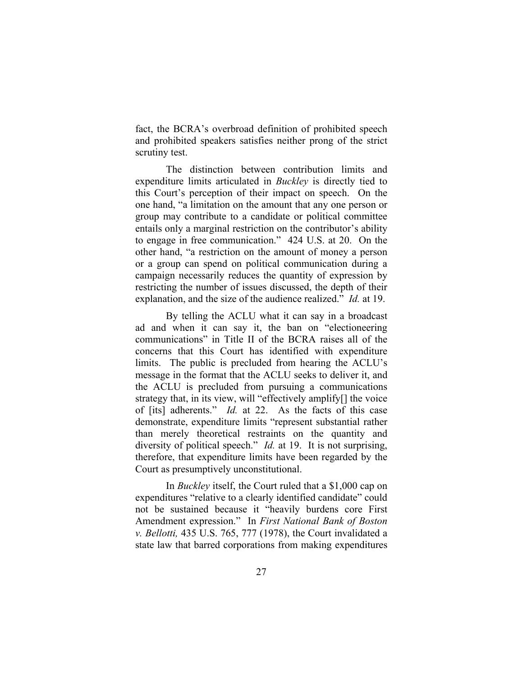fact, the BCRA's overbroad definition of prohibited speech and prohibited speakers satisfies neither prong of the strict scrutiny test.

The distinction between contribution limits and expenditure limits articulated in *Buckley* is directly tied to this Court's perception of their impact on speech. On the one hand, "a limitation on the amount that any one person or group may contribute to a candidate or political committee entails only a marginal restriction on the contributor's ability to engage in free communication." 424 U.S. at 20. On the other hand, "a restriction on the amount of money a person or a group can spend on political communication during a campaign necessarily reduces the quantity of expression by restricting the number of issues discussed, the depth of their explanation, and the size of the audience realized." *Id.* at 19.

By telling the ACLU what it can say in a broadcast ad and when it can say it, the ban on "electioneering communications" in Title II of the BCRA raises all of the concerns that this Court has identified with expenditure limits. The public is precluded from hearing the ACLU's message in the format that the ACLU seeks to deliver it, and the ACLU is precluded from pursuing a communications strategy that, in its view, will "effectively amplify[] the voice of [its] adherents." *Id.* at 22. As the facts of this case demonstrate, expenditure limits "represent substantial rather than merely theoretical restraints on the quantity and diversity of political speech." *Id.* at 19. It is not surprising, therefore, that expenditure limits have been regarded by the Court as presumptively unconstitutional.

 In *Buckley* itself, the Court ruled that a \$1,000 cap on expenditures "relative to a clearly identified candidate" could not be sustained because it "heavily burdens core First Amendment expression." In *First National Bank of Boston v. Bellotti,* 435 U.S. 765, 777 (1978), the Court invalidated a state law that barred corporations from making expenditures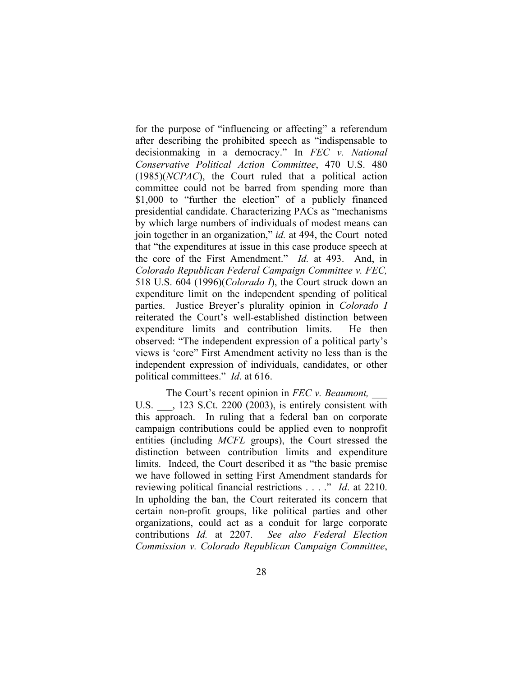for the purpose of "influencing or affecting" a referendum after describing the prohibited speech as "indispensable to decisionmaking in a democracy." In *FEC v. National Conservative Political Action Committee*, 470 U.S. 480 (1985)(*NCPAC*), the Court ruled that a political action committee could not be barred from spending more than \$1,000 to "further the election" of a publicly financed presidential candidate. Characterizing PACs as "mechanisms by which large numbers of individuals of modest means can join together in an organization," *id.* at 494, the Court noted that "the expenditures at issue in this case produce speech at the core of the First Amendment." *Id.* at 493. And, in *Colorado Republican Federal Campaign Committee v. FEC,*  518 U.S. 604 (1996)(*Colorado I*), the Court struck down an expenditure limit on the independent spending of political parties. Justice Breyer's plurality opinion in *Colorado I* reiterated the Court's well-established distinction between expenditure limits and contribution limits. He then observed: "The independent expression of a political party's views is 'core" First Amendment activity no less than is the independent expression of individuals, candidates, or other political committees." *Id*. at 616.

The Court's recent opinion in *FEC v. Beaumont,* \_\_\_ U.S.  $\qquad$ , 123 S.Ct. 2200 (2003), is entirely consistent with this approach. In ruling that a federal ban on corporate campaign contributions could be applied even to nonprofit entities (including *MCFL* groups), the Court stressed the distinction between contribution limits and expenditure limits. Indeed, the Court described it as "the basic premise we have followed in setting First Amendment standards for reviewing political financial restrictions . . . ." *Id*. at 2210. In upholding the ban, the Court reiterated its concern that certain non-profit groups, like political parties and other organizations, could act as a conduit for large corporate contributions *Id.* at 2207.*See also Federal Election Commission v. Colorado Republican Campaign Committee*,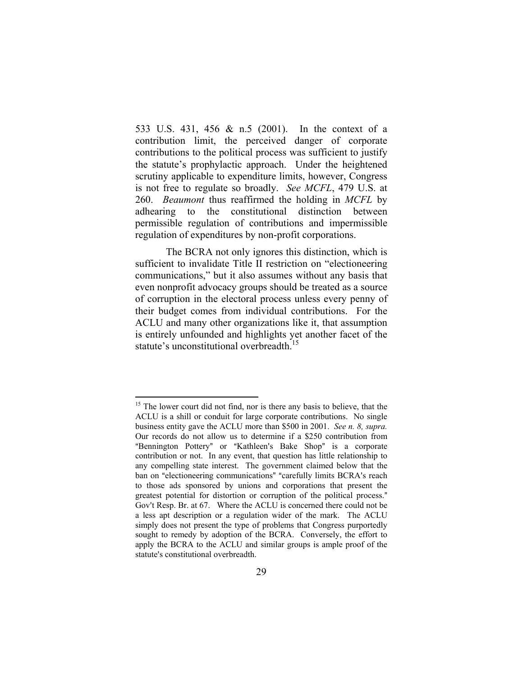533 U.S. 431, 456 & n.5 (2001). In the context of a contribution limit, the perceived danger of corporate contributions to the political process was sufficient to justify the statute's prophylactic approach. Under the heightened scrutiny applicable to expenditure limits, however, Congress is not free to regulate so broadly. *See MCFL*, 479 U.S. at 260. *Beaumont* thus reaffirmed the holding in *MCFL* by adhearing to the constitutional distinction between permissible regulation of contributions and impermissible regulation of expenditures by non-profit corporations.

The BCRA not only ignores this distinction, which is sufficient to invalidate Title II restriction on "electioneering communications," but it also assumes without any basis that even nonprofit advocacy groups should be treated as a source of corruption in the electoral process unless every penny of their budget comes from individual contributions. For the ACLU and many other organizations like it, that assumption is entirely unfounded and highlights yet another facet of the statute's unconstitutional overbreadth. [15](#page-37-0) 

<span id="page-37-0"></span><sup>&</sup>lt;sup>15</sup> The lower court did not find, nor is there any basis to believe, that the ACLU is a shill or conduit for large corporate contributions. No single business entity gave the ACLU more than \$500 in 2001. *See n. 8, supra.* Our records do not allow us to determine if a \$250 contribution from "Bennington Pottery" or "Kathleen's Bake Shop" is a corporate contribution or not. In any event, that question has little relationship to any compelling state interest. The government claimed below that the ban on "electioneering communications" "carefully limits BCRA's reach to those ads sponsored by unions and corporations that present the greatest potential for distortion or corruption of the political process." Gov't Resp. Br. at 67. Where the ACLU is concerned there could not be a less apt description or a regulation wider of the mark. The ACLU simply does not present the type of problems that Congress purportedly sought to remedy by adoption of the BCRA. Conversely, the effort to apply the BCRA to the ACLU and similar groups is ample proof of the statute's constitutional overbreadth.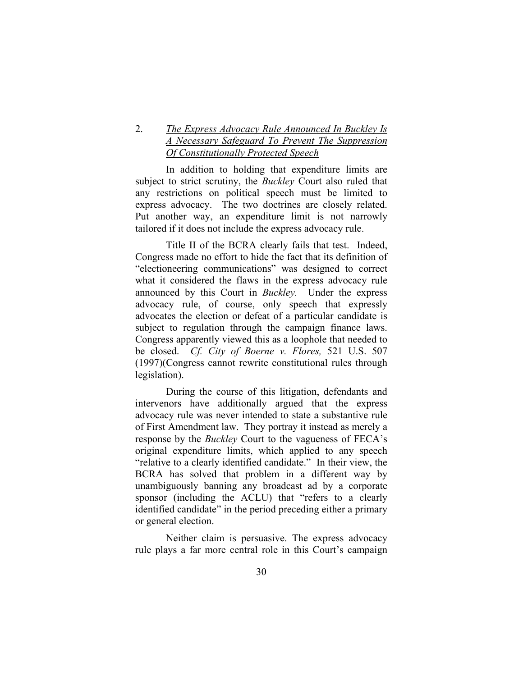## 2. *The Express Advocacy Rule Announced In Buckley Is A Necessary Safeguard To Prevent The Suppression Of Constitutionally Protected Speech*

In addition to holding that expenditure limits are subject to strict scrutiny, the *Buckley* Court also ruled that any restrictions on political speech must be limited to express advocacy. The two doctrines are closely related. Put another way, an expenditure limit is not narrowly tailored if it does not include the express advocacy rule.

Title II of the BCRA clearly fails that test. Indeed, Congress made no effort to hide the fact that its definition of "electioneering communications" was designed to correct what it considered the flaws in the express advocacy rule announced by this Court in *Buckley.* Under the express advocacy rule, of course, only speech that expressly advocates the election or defeat of a particular candidate is subject to regulation through the campaign finance laws. Congress apparently viewed this as a loophole that needed to be closed. *Cf. City of Boerne v. Flores,* 521 U.S. 507 (1997)(Congress cannot rewrite constitutional rules through legislation).

During the course of this litigation, defendants and intervenors have additionally argued that the express advocacy rule was never intended to state a substantive rule of First Amendment law. They portray it instead as merely a response by the *Buckley* Court to the vagueness of FECA's original expenditure limits, which applied to any speech "relative to a clearly identified candidate." In their view, the BCRA has solved that problem in a different way by unambiguously banning any broadcast ad by a corporate sponsor (including the ACLU) that "refers to a clearly identified candidate" in the period preceding either a primary or general election.

Neither claim is persuasive. The express advocacy rule plays a far more central role in this Court's campaign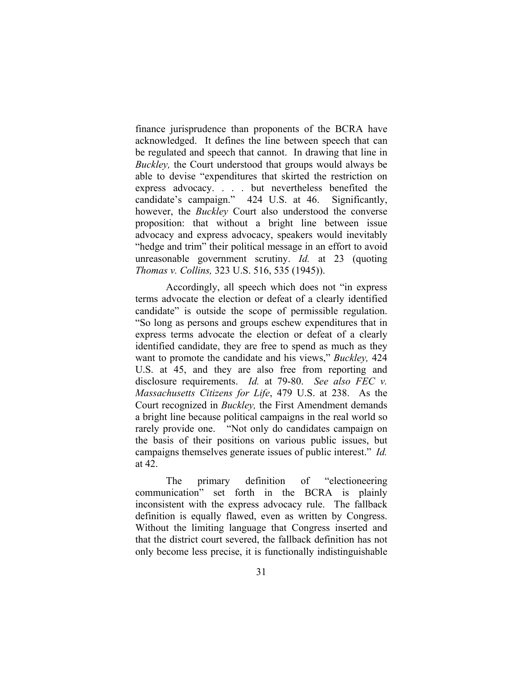finance jurisprudence than proponents of the BCRA have acknowledged. It defines the line between speech that can be regulated and speech that cannot. In drawing that line in *Buckley,* the Court understood that groups would always be able to devise "expenditures that skirted the restriction on express advocacy. . . . but nevertheless benefited the candidate's campaign." 424 U.S. at 46. Significantly, however, the *Buckley* Court also understood the converse proposition: that without a bright line between issue advocacy and express advocacy, speakers would inevitably "hedge and trim" their political message in an effort to avoid unreasonable government scrutiny. *Id.* at 23 (quoting *Thomas v. Collins,* 323 U.S. 516, 535 (1945)).

Accordingly, all speech which does not "in express terms advocate the election or defeat of a clearly identified candidate" is outside the scope of permissible regulation. "So long as persons and groups eschew expenditures that in express terms advocate the election or defeat of a clearly identified candidate, they are free to spend as much as they want to promote the candidate and his views," *Buckley,* 424 U.S. at 45, and they are also free from reporting and disclosure requirements. *Id.* at 79-80. *See also FEC v. Massachusetts Citizens for Life*, 479 U.S. at 238. As the Court recognized in *Buckley,* the First Amendment demands a bright line because political campaigns in the real world so rarely provide one. "Not only do candidates campaign on the basis of their positions on various public issues, but campaigns themselves generate issues of public interest." *Id.* at 42.

The primary definition of "electioneering communication" set forth in the BCRA is plainly inconsistent with the express advocacy rule. The fallback definition is equally flawed, even as written by Congress. Without the limiting language that Congress inserted and that the district court severed, the fallback definition has not only become less precise, it is functionally indistinguishable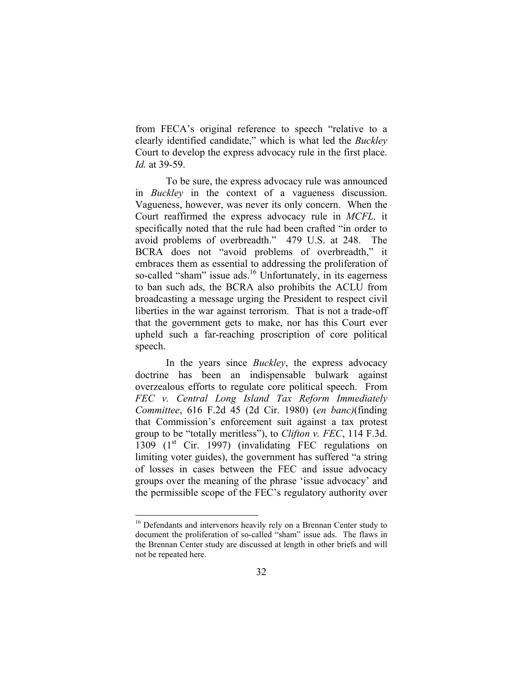from FECA's original reference to speech "relative to a clearly identified candidate," which is what led the *Buckley*  Court to develop the express advocacy rule in the first place. *Id.* at 39-59.

To be sure, the express advocacy rule was announced in *Buckley* in the context of a vagueness discussion. Vagueness, however, was never its only concern. When the Court reaffirmed the express advocacy rule in *MCFL,* it specifically noted that the rule had been crafted "in order to avoid problems of overbreadth." 479 U.S. at 248. The BCRA does not "avoid problems of overbreadth," it embraces them as essential to addressing the proliferation of so-called "sham" issue ads.<sup>16</sup> Unfortunately, in its eagerness to ban such ads, the BCRA also prohibits the ACLU from broadcasting a message urging the President to respect civil liberties in the war against terrorism. That is not a trade-off that the government gets to make, nor has this Court ever upheld such a far-reaching proscription of core political speech.

In the years since *Buckley*, the express advocacy doctrine has been an indispensable bulwark against overzealous efforts to regulate core political speech. From *FEC v. Central Long Island Tax Reform Immediately Committee*, 616 F.2d 45 (2d Cir. 1980) (*en banc)*(finding that Commission's enforcement suit against a tax protest group to be "totally meritless"), to *Clifton v. FEC*, 114 F.3d. 1309  $(1^{st}$  Cir. 1997) (invalidating FEC regulations on limiting voter guides), the government has suffered "a string of losses in cases between the FEC and issue advocacy groups over the meaning of the phrase 'issue advocacy' and the permissible scope of the FEC's regulatory authority over

<span id="page-40-0"></span><sup>&</sup>lt;sup>16</sup> Defendants and intervenors heavily rely on a Brennan Center study to document the proliferation of so-called "sham" issue ads. The flaws in the Brennan Center study are discussed at length in other briefs and will not be repeated here.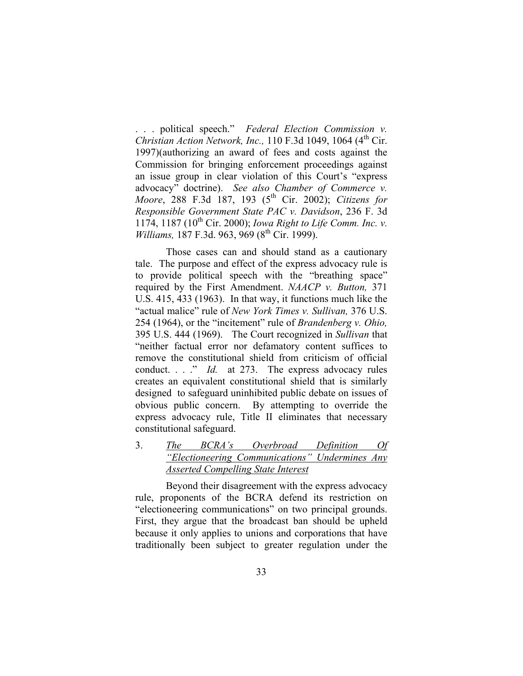. . . political speech." *Federal Election Commission v. Christian Action Network, Inc.,* 110 F.3d 1049, 1064 (4<sup>th</sup> Cir. 1997)(authorizing an award of fees and costs against the Commission for bringing enforcement proceedings against an issue group in clear violation of this Court's "express advocacy" doctrine). *See also Chamber of Commerce v. Moore*, 288 F.3d 187, 193 (5<sup>th</sup> Cir. 2002); *Citizens for Responsible Government State PAC v. Davidson*, 236 F. 3d 1174, 1187 (10<sup>th</sup> Cir. 2000); *Iowa Right to Life Comm. Inc. v. Williams,* 187 F.3d. 963, 969 (8<sup>th</sup> Cir. 1999).

Those cases can and should stand as a cautionary tale. The purpose and effect of the express advocacy rule is to provide political speech with the "breathing space" required by the First Amendment. *NAACP v. Button,* 371 U.S. 415, 433 (1963). In that way, it functions much like the "actual malice" rule of *New York Times v. Sullivan,* 376 U.S. 254 (1964), or the "incitement" rule of *Brandenberg v. Ohio,*  395 U.S. 444 (1969). The Court recognized in *Sullivan* that "neither factual error nor defamatory content suffices to remove the constitutional shield from criticism of official conduct. . . ." *Id.* at 273. The express advocacy rules creates an equivalent constitutional shield that is similarly designed to safeguard uninhibited public debate on issues of obvious public concern. By attempting to override the express advocacy rule, Title II eliminates that necessary constitutional safeguard.

3. *The BCRA's Overbroad Definition Of "Electioneering Communications" Undermines Any Asserted Compelling State Interest* 

Beyond their disagreement with the express advocacy rule, proponents of the BCRA defend its restriction on "electioneering communications" on two principal grounds. First, they argue that the broadcast ban should be upheld because it only applies to unions and corporations that have traditionally been subject to greater regulation under the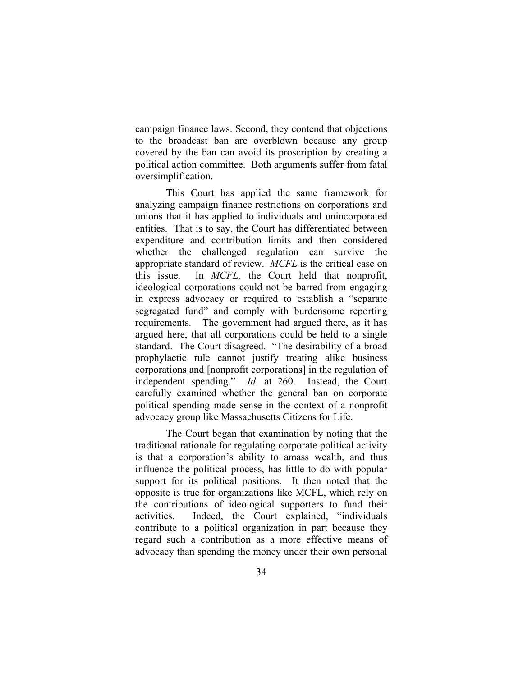campaign finance laws. Second, they contend that objections to the broadcast ban are overblown because any group covered by the ban can avoid its proscription by creating a political action committee. Both arguments suffer from fatal oversimplification.

This Court has applied the same framework for analyzing campaign finance restrictions on corporations and unions that it has applied to individuals and unincorporated entities. That is to say, the Court has differentiated between expenditure and contribution limits and then considered whether the challenged regulation can survive the appropriate standard of review. *MCFL* is the critical case on this issue. In *MCFL,* the Court held that nonprofit, ideological corporations could not be barred from engaging in express advocacy or required to establish a "separate segregated fund" and comply with burdensome reporting requirements. The government had argued there, as it has argued here, that all corporations could be held to a single standard. The Court disagreed. "The desirability of a broad prophylactic rule cannot justify treating alike business corporations and [nonprofit corporations] in the regulation of independent spending." *Id.* at 260. Instead, the Court carefully examined whether the general ban on corporate political spending made sense in the context of a nonprofit advocacy group like Massachusetts Citizens for Life.

The Court began that examination by noting that the traditional rationale for regulating corporate political activity is that a corporation's ability to amass wealth, and thus influence the political process, has little to do with popular support for its political positions. It then noted that the opposite is true for organizations like MCFL, which rely on the contributions of ideological supporters to fund their activities. Indeed, the Court explained, "individuals contribute to a political organization in part because they regard such a contribution as a more effective means of advocacy than spending the money under their own personal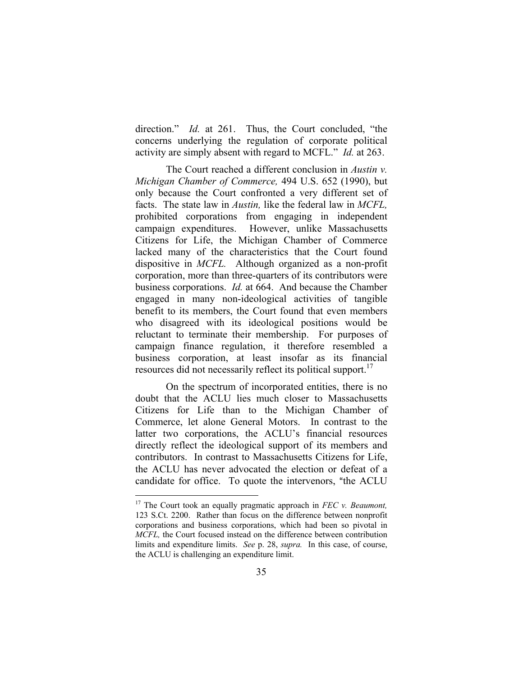direction." *Id.* at 261. Thus, the Court concluded, "the concerns underlying the regulation of corporate political activity are simply absent with regard to MCFL." *Id.* at 263.

The Court reached a different conclusion in *Austin v. Michigan Chamber of Commerce,* 494 U.S. 652 (1990), but only because the Court confronted a very different set of facts. The state law in *Austin,* like the federal law in *MCFL,* prohibited corporations from engaging in independent campaign expenditures. However, unlike Massachusetts Citizens for Life, the Michigan Chamber of Commerce lacked many of the characteristics that the Court found dispositive in *MCFL.* Although organized as a non-profit corporation, more than three-quarters of its contributors were business corporations. *Id.* at 664. And because the Chamber engaged in many non-ideological activities of tangible benefit to its members, the Court found that even members who disagreed with its ideological positions would be reluctant to terminate their membership. For purposes of campaign finance regulation, it therefore resembled a business corporation, at least insofar as its financial resources did not necessarily reflect its political support.<sup>17</sup>

On the spectrum of incorporated entities, there is no doubt that the ACLU lies much closer to Massachusetts Citizens for Life than to the Michigan Chamber of Commerce, let alone General Motors. In contrast to the latter two corporations, the ACLU's financial resources directly reflect the ideological support of its members and contributors. In contrast to Massachusetts Citizens for Life, the ACLU has never advocated the election or defeat of a candidate for office. To quote the intervenors, "the ACLU

<span id="page-43-0"></span><sup>&</sup>lt;sup>17</sup> The Court took an equally pragmatic approach in *FEC v. Beaumont*, 123 S.Ct. 2200. Rather than focus on the difference between nonprofit corporations and business corporations, which had been so pivotal in *MCFL,* the Court focused instead on the difference between contribution limits and expenditure limits. *See* p. 28, *supra.* In this case, of course, the ACLU is challenging an expenditure limit.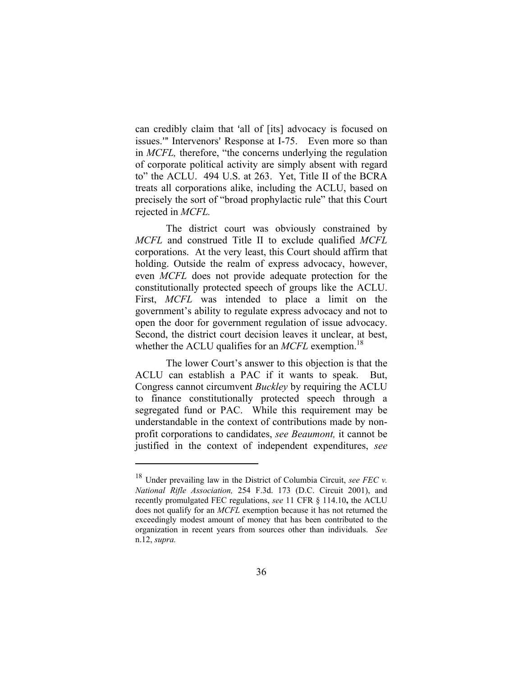can credibly claim that 'all of [its] advocacy is focused on issues." Intervenors' Response at I-75. Even more so than in *MCFL,* therefore, "the concerns underlying the regulation of corporate political activity are simply absent with regard to" the ACLU. 494 U.S. at 263. Yet, Title II of the BCRA treats all corporations alike, including the ACLU, based on precisely the sort of "broad prophylactic rule" that this Court rejected in *MCFL.*

The district court was obviously constrained by *MCFL* and construed Title II to exclude qualified *MCFL* corporations. At the very least, this Court should affirm that holding. Outside the realm of express advocacy, however, even *MCFL* does not provide adequate protection for the constitutionally protected speech of groups like the ACLU. First, *MCFL* was intended to place a limit on the government's ability to regulate express advocacy and not to open the door for government regulation of issue advocacy. Second, the district court decision leaves it unclear, at best, whether the ACLU qualifies for an *MCFL* exemption.<sup>[18](#page-44-0)</sup>

The lower Court's answer to this objection is that the ACLU can establish a PAC if it wants to speak. But, Congress cannot circumvent *Buckley* by requiring the ACLU to finance constitutionally protected speech through a segregated fund or PAC. While this requirement may be understandable in the context of contributions made by nonprofit corporations to candidates, *see Beaumont,* it cannot be justified in the context of independent expenditures, *see* 

<span id="page-44-0"></span><sup>18</sup> Under prevailing law in the District of Columbia Circuit, *see FEC v. National Rifle Association,* 254 F.3d. 173 (D.C. Circuit 2001), and recently promulgated FEC regulations, *see* 11 CFR § 114.10**,** the ACLU does not qualify for an *MCFL* exemption because it has not returned the exceedingly modest amount of money that has been contributed to the organization in recent years from sources other than individuals. *See*  n.12, *supra.*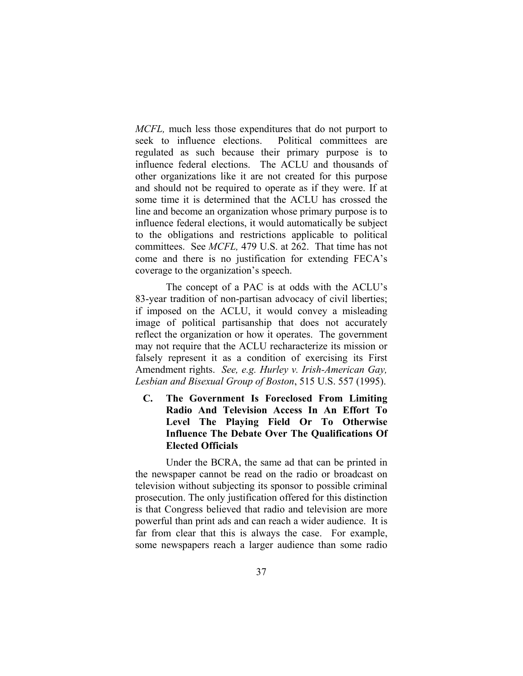*MCFL,* much less those expenditures that do not purport to seek to influence elections. Political committees are regulated as such because their primary purpose is to influence federal elections. The ACLU and thousands of other organizations like it are not created for this purpose and should not be required to operate as if they were. If at some time it is determined that the ACLU has crossed the line and become an organization whose primary purpose is to influence federal elections, it would automatically be subject to the obligations and restrictions applicable to political committees. See *MCFL,* 479 U.S. at 262. That time has not come and there is no justification for extending FECA's coverage to the organization's speech.

The concept of a PAC is at odds with the ACLU's 83-year tradition of non-partisan advocacy of civil liberties; if imposed on the ACLU, it would convey a misleading image of political partisanship that does not accurately reflect the organization or how it operates. The government may not require that the ACLU recharacterize its mission or falsely represent it as a condition of exercising its First Amendment rights. *See, e.g. Hurley v. Irish-American Gay, Lesbian and Bisexual Group of Boston*, 515 U.S. 557 (1995).

 **C. The Government Is Foreclosed From Limiting Radio And Television Access In An Effort To Level The Playing Field Or To Otherwise Influence The Debate Over The Qualifications Of Elected Officials** 

Under the BCRA, the same ad that can be printed in the newspaper cannot be read on the radio or broadcast on television without subjecting its sponsor to possible criminal prosecution. The only justification offered for this distinction is that Congress believed that radio and television are more powerful than print ads and can reach a wider audience. It is far from clear that this is always the case. For example, some newspapers reach a larger audience than some radio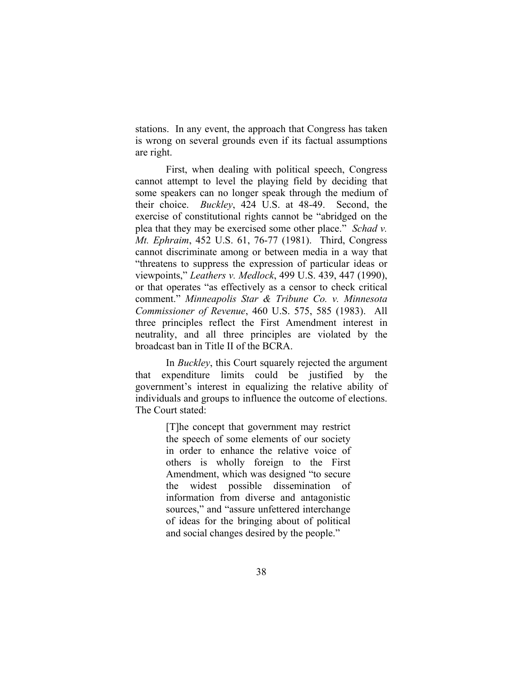stations. In any event, the approach that Congress has taken is wrong on several grounds even if its factual assumptions are right.

First, when dealing with political speech, Congress cannot attempt to level the playing field by deciding that some speakers can no longer speak through the medium of their choice. *Buckley*, 424 U.S. at 48-49. Second, the exercise of constitutional rights cannot be "abridged on the plea that they may be exercised some other place." *Schad v. Mt. Ephraim*, 452 U.S. 61, 76-77 (1981). Third, Congress cannot discriminate among or between media in a way that "threatens to suppress the expression of particular ideas or viewpoints," *Leathers v. Medlock*, 499 U.S. 439, 447 (1990), or that operates "as effectively as a censor to check critical comment." *Minneapolis Star & Tribune Co. v. Minnesota Commissioner of Revenue*, 460 U.S. 575, 585 (1983). All three principles reflect the First Amendment interest in neutrality, and all three principles are violated by the broadcast ban in Title II of the BCRA.

 In *Buckley*, this Court squarely rejected the argument that expenditure limits could be justified by the government's interest in equalizing the relative ability of individuals and groups to influence the outcome of elections. The Court stated:

> [T]he concept that government may restrict the speech of some elements of our society in order to enhance the relative voice of others is wholly foreign to the First Amendment, which was designed "to secure the widest possible dissemination of information from diverse and antagonistic sources," and "assure unfettered interchange of ideas for the bringing about of political and social changes desired by the people."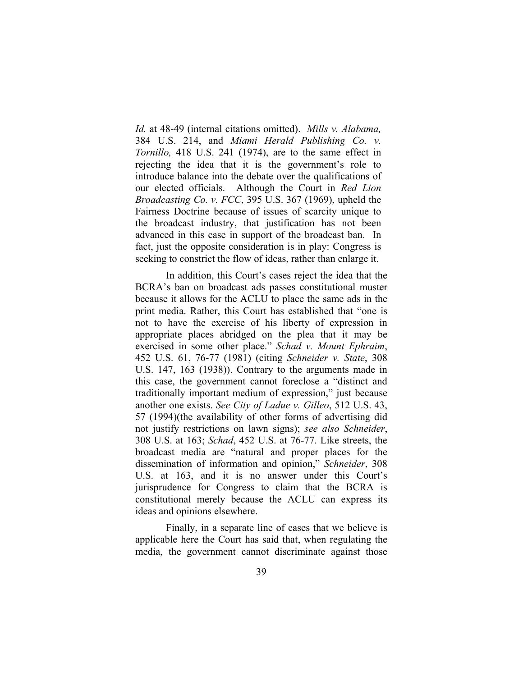*Id.* at 48-49 (internal citations omitted). *Mills v. Alabama,*  384 U.S. 214, and *Miami Herald Publishing Co. v. Tornillo,* 418 U.S. 241 (1974), are to the same effect in rejecting the idea that it is the government's role to introduce balance into the debate over the qualifications of our elected officials. Although the Court in *Red Lion Broadcasting Co. v. FCC*, 395 U.S. 367 (1969), upheld the Fairness Doctrine because of issues of scarcity unique to the broadcast industry, that justification has not been advanced in this case in support of the broadcast ban. In fact, just the opposite consideration is in play: Congress is seeking to constrict the flow of ideas, rather than enlarge it.

In addition, this Court's cases reject the idea that the BCRA's ban on broadcast ads passes constitutional muster because it allows for the ACLU to place the same ads in the print media. Rather, this Court has established that "one is not to have the exercise of his liberty of expression in appropriate places abridged on the plea that it may be exercised in some other place." *Schad v. Mount Ephraim*, 452 U.S. 61, 76-77 (1981) (citing *Schneider v. State*, 308 U.S. 147, 163 (1938)). Contrary to the arguments made in this case, the government cannot foreclose a "distinct and traditionally important medium of expression," just because another one exists. *See City of Ladue v. Gilleo*, 512 U.S. 43, 57 (1994)(the availability of other forms of advertising did not justify restrictions on lawn signs); *see also Schneider*, 308 U.S. at 163; *Schad*, 452 U.S. at 76-77. Like streets, the broadcast media are "natural and proper places for the dissemination of information and opinion," *Schneider*, 308 U.S. at 163, and it is no answer under this Court's jurisprudence for Congress to claim that the BCRA is constitutional merely because the ACLU can express its ideas and opinions elsewhere.

Finally, in a separate line of cases that we believe is applicable here the Court has said that, when regulating the media, the government cannot discriminate against those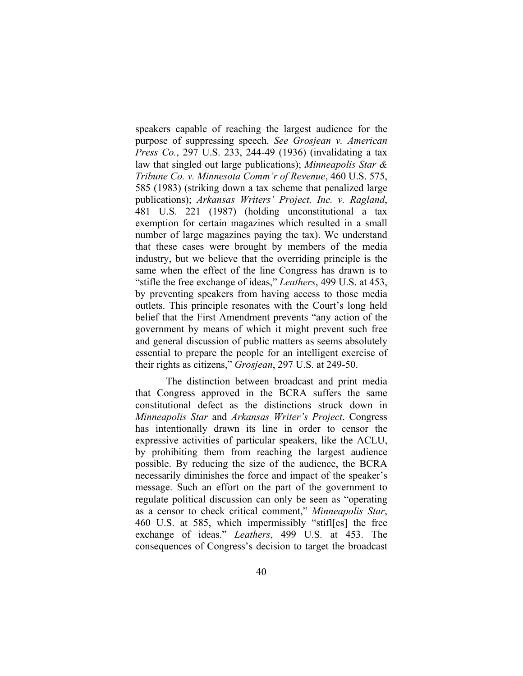speakers capable of reaching the largest audience for the purpose of suppressing speech. *See Grosjean v. American Press Co.*, 297 U.S. 233, 244-49 (1936) (invalidating a tax law that singled out large publications); *Minneapolis Star & Tribune Co. v. Minnesota Comm'r of Revenue*, 460 U.S. 575, 585 (1983) (striking down a tax scheme that penalized large publications); *Arkansas Writers' Project, Inc. v. Ragland*, 481 U.S. 221 (1987) (holding unconstitutional a tax exemption for certain magazines which resulted in a small number of large magazines paying the tax). We understand that these cases were brought by members of the media industry, but we believe that the overriding principle is the same when the effect of the line Congress has drawn is to "stifle the free exchange of ideas," *Leathers*, 499 U.S. at 453, by preventing speakers from having access to those media outlets. This principle resonates with the Court's long held belief that the First Amendment prevents "any action of the government by means of which it might prevent such free and general discussion of public matters as seems absolutely essential to prepare the people for an intelligent exercise of their rights as citizens," *Grosjean*, 297 U.S. at 249-50.

The distinction between broadcast and print media that Congress approved in the BCRA suffers the same constitutional defect as the distinctions struck down in *Minneapolis Star* and *Arkansas Writer's Project*. Congress has intentionally drawn its line in order to censor the expressive activities of particular speakers, like the ACLU, by prohibiting them from reaching the largest audience possible. By reducing the size of the audience, the BCRA necessarily diminishes the force and impact of the speaker's message. Such an effort on the part of the government to regulate political discussion can only be seen as "operating as a censor to check critical comment," *Minneapolis Star*, 460 U.S. at 585, which impermissibly "stifl[es] the free exchange of ideas." *Leathers*, 499 U.S. at 453. The consequences of Congress's decision to target the broadcast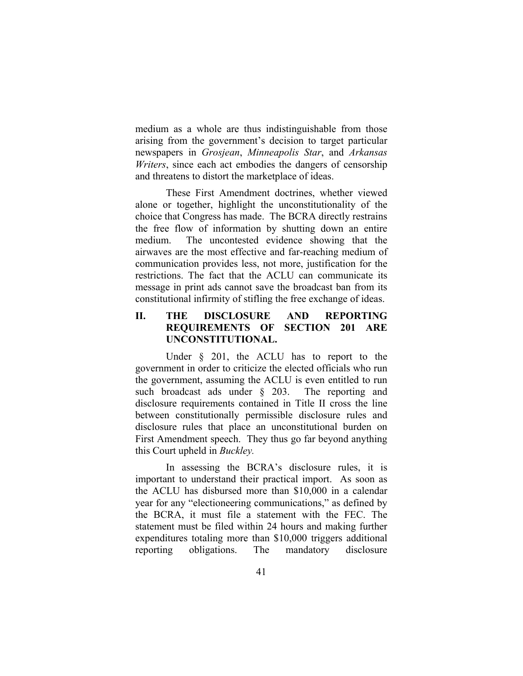medium as a whole are thus indistinguishable from those arising from the government's decision to target particular newspapers in *Grosjean*, *Minneapolis Star*, and *Arkansas Writers*, since each act embodies the dangers of censorship and threatens to distort the marketplace of ideas.

These First Amendment doctrines, whether viewed alone or together, highlight the unconstitutionality of the choice that Congress has made. The BCRA directly restrains the free flow of information by shutting down an entire medium. The uncontested evidence showing that the airwaves are the most effective and far-reaching medium of communication provides less, not more, justification for the restrictions. The fact that the ACLU can communicate its message in print ads cannot save the broadcast ban from its constitutional infirmity of stifling the free exchange of ideas.

## **II. THE DISCLOSURE AND REPORTING REQUIREMENTS OF SECTION 201 ARE UNCONSTITUTIONAL.**

Under  $\S$  201, the ACLU has to report to the government in order to criticize the elected officials who run the government, assuming the ACLU is even entitled to run such broadcast ads under § 203. The reporting and disclosure requirements contained in Title II cross the line between constitutionally permissible disclosure rules and disclosure rules that place an unconstitutional burden on First Amendment speech. They thus go far beyond anything this Court upheld in *Buckley.*

In assessing the BCRA's disclosure rules, it is important to understand their practical import. As soon as the ACLU has disbursed more than \$10,000 in a calendar year for any "electioneering communications," as defined by the BCRA, it must file a statement with the FEC. The statement must be filed within 24 hours and making further expenditures totaling more than \$10,000 triggers additional reporting obligations. The mandatory disclosure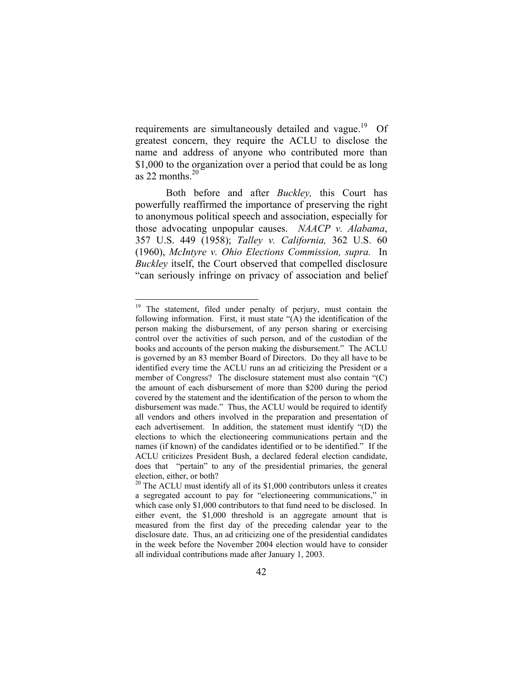requirements are simultaneously detailed and vague.<sup>19</sup> Of greatest concern, they require the ACLU to disclose the name and address of anyone who contributed more than \$1,000 to the organization over a period that could be as long as 22 months  $20$ 

Both before and after *Buckley,* this Court has powerfully reaffirmed the importance of preserving the right to anonymous political speech and association, especially for those advocating unpopular causes. *NAACP v. Alabama*, 357 U.S. 449 (1958); *Talley v. California,* 362 U.S. 60 (1960), *McIntyre v. Ohio Elections Commission, supra.* In *Buckley* itself, the Court observed that compelled disclosure "can seriously infringe on privacy of association and belief

<span id="page-50-0"></span><sup>&</sup>lt;sup>19</sup> The statement, filed under penalty of perjury, must contain the following information. First, it must state "(A) the identification of the person making the disbursement, of any person sharing or exercising control over the activities of such person, and of the custodian of the books and accounts of the person making the disbursement." The ACLU is governed by an 83 member Board of Directors. Do they all have to be identified every time the ACLU runs an ad criticizing the President or a member of Congress? The disclosure statement must also contain "(C) the amount of each disbursement of more than \$200 during the period covered by the statement and the identification of the person to whom the disbursement was made." Thus, the ACLU would be required to identify all vendors and others involved in the preparation and presentation of each advertisement. In addition, the statement must identify "(D) the elections to which the electioneering communications pertain and the names (if known) of the candidates identified or to be identified." If the ACLU criticizes President Bush, a declared federal election candidate, does that "pertain" to any of the presidential primaries, the general election, either, or both?<br><sup>20</sup> The ACLU must identify all of its \$1,000 contributors unless it creates

<span id="page-50-1"></span>a segregated account to pay for "electioneering communications," in which case only \$1,000 contributors to that fund need to be disclosed. In either event, the \$1,000 threshold is an aggregate amount that is measured from the first day of the preceding calendar year to the disclosure date. Thus, an ad criticizing one of the presidential candidates in the week before the November 2004 election would have to consider all individual contributions made after January 1, 2003.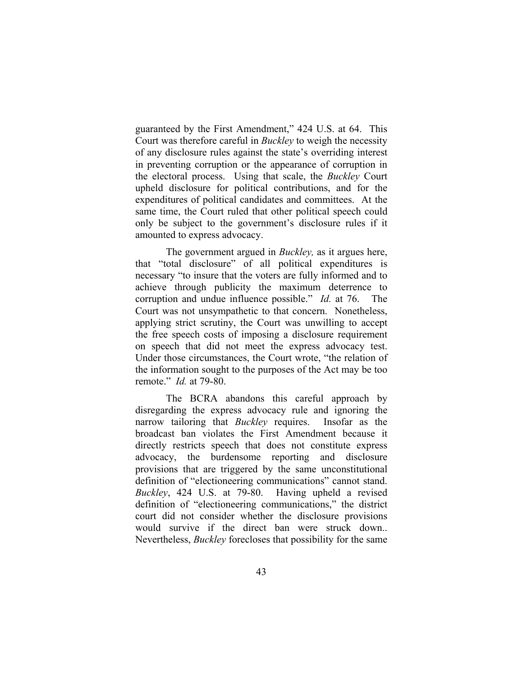guaranteed by the First Amendment," 424 U.S. at 64. This Court was therefore careful in *Buckley* to weigh the necessity of any disclosure rules against the state's overriding interest in preventing corruption or the appearance of corruption in the electoral process. Using that scale, the *Buckley* Court upheld disclosure for political contributions, and for the expenditures of political candidates and committees. At the same time, the Court ruled that other political speech could only be subject to the government's disclosure rules if it amounted to express advocacy.

The government argued in *Buckley,* as it argues here, that "total disclosure" of all political expenditures is necessary "to insure that the voters are fully informed and to achieve through publicity the maximum deterrence to corruption and undue influence possible." *Id.* at 76. The Court was not unsympathetic to that concern. Nonetheless, applying strict scrutiny, the Court was unwilling to accept the free speech costs of imposing a disclosure requirement on speech that did not meet the express advocacy test. Under those circumstances, the Court wrote, "the relation of the information sought to the purposes of the Act may be too remote." *Id.* at 79-80.

The BCRA abandons this careful approach by disregarding the express advocacy rule and ignoring the narrow tailoring that *Buckley* requires. Insofar as the broadcast ban violates the First Amendment because it directly restricts speech that does not constitute express advocacy, the burdensome reporting and disclosure provisions that are triggered by the same unconstitutional definition of "electioneering communications" cannot stand. *Buckley*, 424 U.S. at 79-80. Having upheld a revised definition of "electioneering communications," the district court did not consider whether the disclosure provisions would survive if the direct ban were struck down.. Nevertheless, *Buckley* forecloses that possibility for the same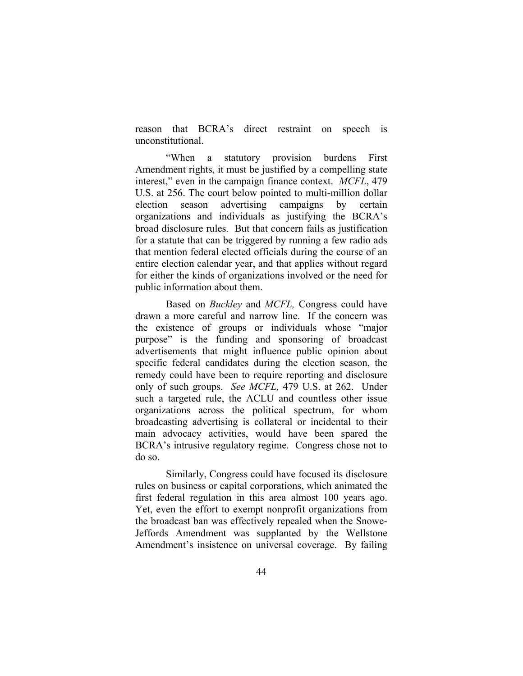reason that BCRA's direct restraint on speech is unconstitutional.

"When a statutory provision burdens First Amendment rights, it must be justified by a compelling state interest," even in the campaign finance context. *MCFL*, 479 U.S. at 256. The court below pointed to multi-million dollar election season advertising campaigns by certain organizations and individuals as justifying the BCRA's broad disclosure rules. But that concern fails as justification for a statute that can be triggered by running a few radio ads that mention federal elected officials during the course of an entire election calendar year, and that applies without regard for either the kinds of organizations involved or the need for public information about them.

Based on *Buckley* and *MCFL,* Congress could have drawn a more careful and narrow line. If the concern was the existence of groups or individuals whose "major purpose" is the funding and sponsoring of broadcast advertisements that might influence public opinion about specific federal candidates during the election season, the remedy could have been to require reporting and disclosure only of such groups. *See MCFL,* 479 U.S. at 262. Under such a targeted rule, the ACLU and countless other issue organizations across the political spectrum, for whom broadcasting advertising is collateral or incidental to their main advocacy activities, would have been spared the BCRA's intrusive regulatory regime. Congress chose not to do so.

Similarly, Congress could have focused its disclosure rules on business or capital corporations, which animated the first federal regulation in this area almost 100 years ago. Yet, even the effort to exempt nonprofit organizations from the broadcast ban was effectively repealed when the Snowe-Jeffords Amendment was supplanted by the Wellstone Amendment's insistence on universal coverage. By failing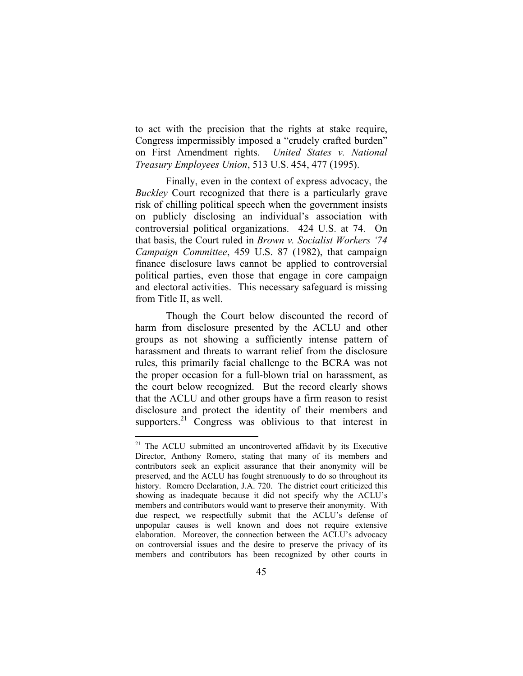<span id="page-53-0"></span>to act with the precision that the rights at stake require, Congress impermissibly imposed a "crudely crafted burden" on First Amendment rights. *United States v. National Treasury Employees Union*, 513 U.S. 454, 477 (1995).

Finally, even in the context of express advocacy, the *Buckley* Court recognized that there is a particularly grave risk of chilling political speech when the government insists on publicly disclosing an individual's association with controversial political organizations. 424 U.S. at 74. On that basis, the Court ruled in *Brown v. Socialist Workers '74 Campaign Committee*, 459 U.S. 87 (1982), that campaign finance disclosure laws cannot be applied to controversial political parties, even those that engage in core campaign and electoral activities. This necessary safeguard is missing from Title II, as well.

Though the Court below discounted the record of harm from disclosure presented by the ACLU and other groups as not showing a sufficiently intense pattern of harassment and threats to warrant relief from the disclosure rules, this primarily facial challenge to the BCRA was not the proper occasion for a full-blown trial on harassment, as the court below recognized. But the record clearly shows that the ACLU and other groups have a firm reason to resist disclosure and protect the identity of their members and supporters.<sup>21</sup> Congress was oblivious to that interest in

 $21$  The ACLU submitted an uncontroverted affidavit by its Executive Director, Anthony Romero, stating that many of its members and contributors seek an explicit assurance that their anonymity will be preserved, and the ACLU has fought strenuously to do so throughout its history. Romero Declaration, J.A. 720.The district court criticized this showing as inadequate because it did not specify why the ACLU's members and contributors would want to preserve their anonymity. With due respect, we respectfully submit that the ACLU's defense of unpopular causes is well known and does not require extensive elaboration. Moreover, the connection between the ACLU's advocacy on controversial issues and the desire to preserve the privacy of its members and contributors has been recognized by other courts in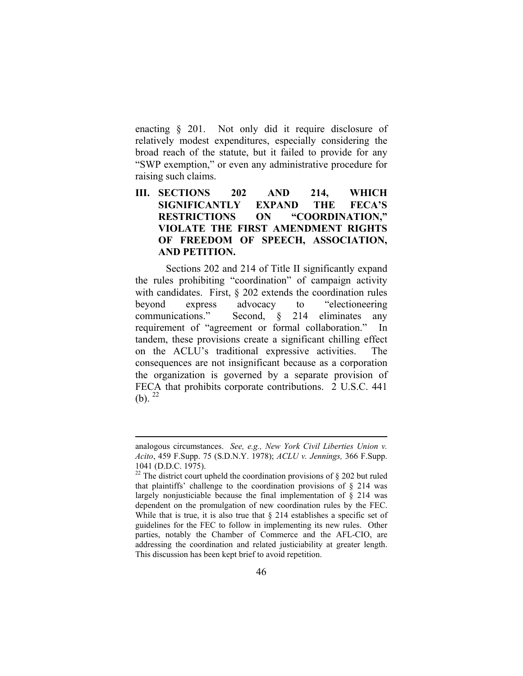enacting § 201. Not only did it require disclosure of relatively modest expenditures, especially considering the broad reach of the statute, but it failed to provide for any "SWP exemption," or even any administrative procedure for raising such claims.

## **III. SECTIONS 202 AND 214, WHICH SIGNIFICANTLY EXPAND THE FECA'S RESTRICTIONS ON "COORDINATION," VIOLATE THE FIRST AMENDMENT RIGHTS OF FREEDOM OF SPEECH, ASSOCIATION, AND PETITION.**

Sections 202 and 214 of Title II significantly expand the rules prohibiting "coordination" of campaign activity with candidates. First, § 202 extends the coordination rules beyond express advocacy to "electioneering communications." Second, § 214 eliminates any requirement of "agreement or formal collaboration." In tandem, these provisions create a significant chilling effect on the ACLU's traditional expressive activities. The consequences are not insignificant because as a corporation the organization is governed by a separate provision of FECA that prohibits corporate contributions. 2 U.S.C. 441 (b).  $^{22}$  $^{22}$  $^{22}$ 

analogous circumstances. *See, e.g., New York Civil Liberties Union v. Acito*, 459 F.Supp. 75 (S.D.N.Y. 1978); *ACLU v. Jennings,* 366 F.Supp. 1041 (D.D.C. 1975).<sup>22</sup> The district court upheld the coordination provisions of § 202 but ruled

<span id="page-54-0"></span>that plaintiffs' challenge to the coordination provisions of  $\S$  214 was largely nonjusticiable because the final implementation of § 214 was dependent on the promulgation of new coordination rules by the FEC. While that is true, it is also true that  $\S$  214 establishes a specific set of guidelines for the FEC to follow in implementing its new rules. Other parties, notably the Chamber of Commerce and the AFL-CIO, are addressing the coordination and related justiciability at greater length. This discussion has been kept brief to avoid repetition.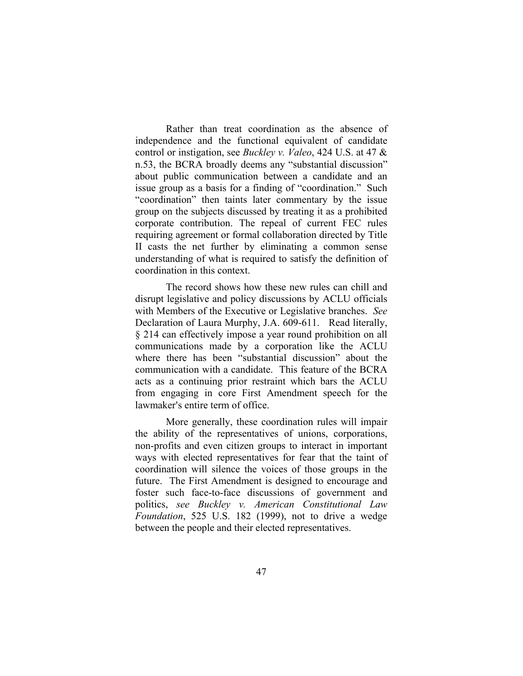Rather than treat coordination as the absence of independence and the functional equivalent of candidate control or instigation, see *Buckley v. Valeo*, 424 U.S. at 47 & n.53, the BCRA broadly deems any "substantial discussion" about public communication between a candidate and an issue group as a basis for a finding of "coordination." Such "coordination" then taints later commentary by the issue group on the subjects discussed by treating it as a prohibited corporate contribution. The repeal of current FEC rules requiring agreement or formal collaboration directed by Title II casts the net further by eliminating a common sense understanding of what is required to satisfy the definition of coordination in this context.

The record shows how these new rules can chill and disrupt legislative and policy discussions by ACLU officials with Members of the Executive or Legislative branches. *See*  Declaration of Laura Murphy, J.A. 609-611. Read literally, § 214 can effectively impose a year round prohibition on all communications made by a corporation like the ACLU where there has been "substantial discussion" about the communication with a candidate. This feature of the BCRA acts as a continuing prior restraint which bars the ACLU from engaging in core First Amendment speech for the lawmaker's entire term of office.

More generally, these coordination rules will impair the ability of the representatives of unions, corporations, non-profits and even citizen groups to interact in important ways with elected representatives for fear that the taint of coordination will silence the voices of those groups in the future. The First Amendment is designed to encourage and foster such face-to-face discussions of government and politics, *see Buckley v. American Constitutional Law Foundation*, 525 U.S. 182 (1999), not to drive a wedge between the people and their elected representatives.